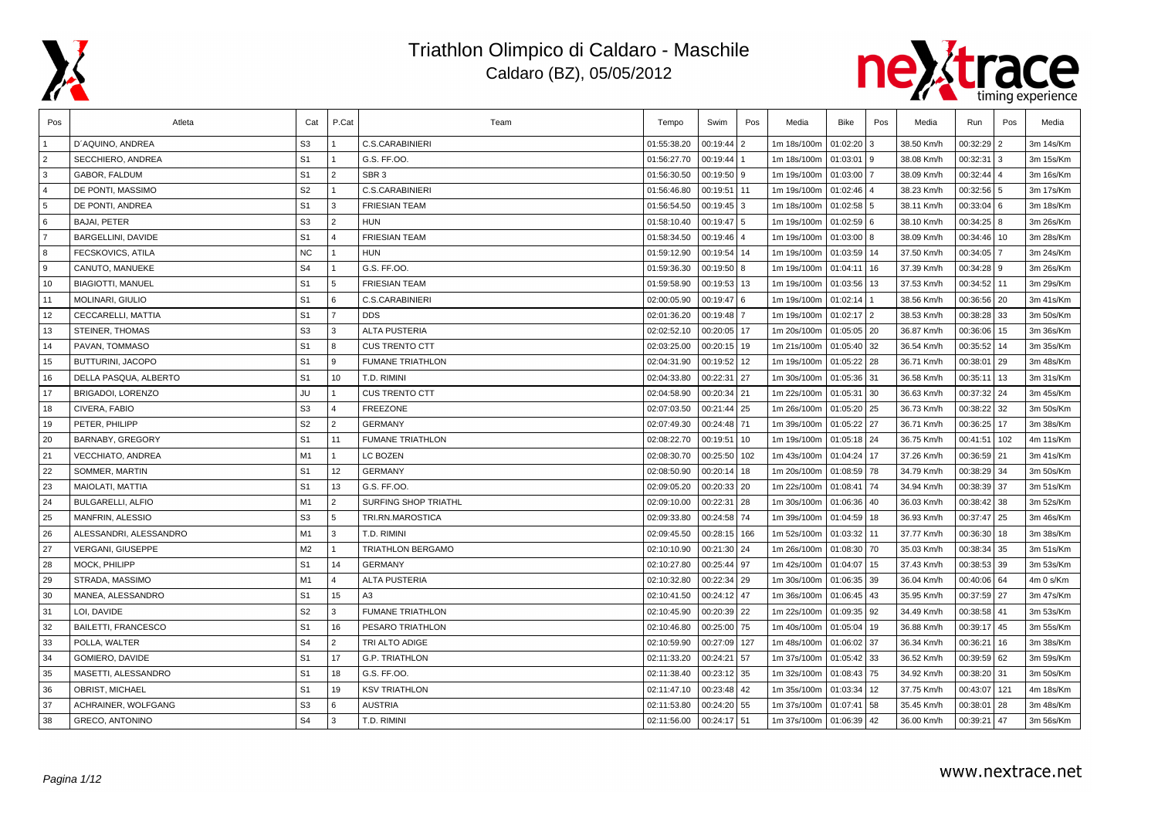



| Pos            | Atleta                     | Cat            | P.Cat                   | Team                    | Tempo       | Swim         | Pos            | Media       | <b>Bike</b>   | Pos | Media      | Run           | Pos            | Media     |
|----------------|----------------------------|----------------|-------------------------|-------------------------|-------------|--------------|----------------|-------------|---------------|-----|------------|---------------|----------------|-----------|
|                | D'AQUINO, ANDREA           | S <sub>3</sub> |                         | <b>C.S.CARABINIERI</b>  | 01:55:38.20 | 00:19:44     | $\overline{2}$ | 1m 18s/100m | 01:02:20      | l 3 | 38.50 Km/h | 00:32:29      | $\overline{2}$ | 3m 14s/Km |
| $\overline{2}$ | SECCHIERO, ANDREA          | S <sub>1</sub> |                         | G.S. FF.OO.             | 01:56:27.70 | 00:19:44     |                | 1m 18s/100m | 01:03:01      | l 9 | 38.08 Km/h | 00:32:31      | 3              | 3m 15s/Km |
| 3              | GABOR. FALDUM              | S <sub>1</sub> | $\mathfrak{p}$          | SBR <sub>3</sub>        | 01:56:30.50 | $00:19:50$ 9 |                | 1m 19s/100m | 01:03:00      |     | 38.09 Km/h | 00:32:44      |                | 3m 16s/Km |
| $\overline{4}$ | DE PONTI, MASSIMO          | S <sub>2</sub> |                         | <b>C.S.CARABINIERI</b>  | 01:56:46.80 | 00:19:51 11  |                | 1m 19s/100m | 01:02:46      |     | 38.23 Km/h | 00:32:56      | 5              | 3m 17s/Km |
| 5              | DE PONTI, ANDREA           | S <sub>1</sub> | 3                       | <b>FRIESIAN TEAM</b>    | 01:56:54.50 | $00:19:45$ 3 |                | 1m 18s/100m | 01:02:58 5    |     | 38.11 Km/h | 00:33:04      | 6              | 3m 18s/Km |
| 6              | <b>BAJAI, PETER</b>        | S <sub>3</sub> | 2                       | <b>HUN</b>              | 01:58:10.40 | 00:19:47   5 |                | 1m 19s/100m | 01:02:59 6    |     | 38.10 Km/h | $00:34:25$ 8  |                | 3m 26s/Km |
| $\overline{7}$ | BARGELLINI, DAVIDE         | S <sub>1</sub> | $\overline{\mathbf{A}}$ | <b>FRIESIAN TEAM</b>    | 01:58:34.50 | 00:19:46     |                | 1m 19s/100m | $01:03:00$ 8  |     | 38.09 Km/h | 00:34:46      | 10             | 3m 28s/Km |
| 8              | FECSKOVICS, ATILA          | <b>NC</b>      |                         | <b>HUN</b>              | 01:59:12.90 | 00:19:54 14  |                | 1m 19s/100m | 01:03:59      | 14  | 37.50 Km/h | 00:34:05      |                | 3m 24s/Km |
| 9              | CANUTO, MANUEKE            | S <sub>4</sub> |                         | G.S. FF.OO.             | 01:59:36.30 | $00:19:50$ 8 |                | 1m 19s/100m | 01:04:11      | 16  | 37.39 Km/h | 00:34:28      | l 9            | 3m 26s/Km |
| 10             | <b>BIAGIOTTI, MANUEL</b>   | S <sub>1</sub> | 5                       | <b>FRIESIAN TEAM</b>    | 01:59:58.90 | 00:19:53 13  |                | 1m 19s/100m | 01:03:56      | 13  | 37.53 Km/h | 00:34:52      | l 11           | 3m 29s/Km |
| 11             | MOLINARI, GIULIO           | S <sub>1</sub> | 6                       | <b>C.S.CARABINIERI</b>  | 02:00:05.90 | $00:19:47$ 6 |                | 1m 19s/100m | 01:02:14      |     | 38.56 Km/h | 00:36:56      | 20             | 3m 41s/Km |
| 12             | CECCARELLI, MATTIA         | S <sub>1</sub> | $\overline{7}$          | <b>DDS</b>              | 02:01:36.20 | 00:19:48     |                | 1m 19s/100m | $01:02:17$ 2  |     | 38.53 Km/h | 00:38:28      | 33             | 3m 50s/Km |
| 13             | <b>STEINER, THOMAS</b>     | S <sub>3</sub> | 3                       | <b>ALTA PUSTERIA</b>    | 02:02:52.10 | 00:20:05 17  |                | 1m 20s/100m | 01:05:05 20   |     | 36.87 Km/h | 00:36:06      | 15             | 3m 36s/Km |
| 14             | PAVAN, TOMMASO             | S <sub>1</sub> | 8                       | <b>CUS TRENTO CTT</b>   | 02:03:25.00 | 00:20:15 19  |                | 1m 21s/100m | 01:05:40      | 32  | 36.54 Km/h | 00:35:52      | 14             | 3m 35s/Km |
| 15             | BUTTURINI, JACOPO          | S <sub>1</sub> | 9                       | <b>FUMANE TRIATHLON</b> | 02:04:31.90 | 00:19:52 12  |                | 1m 19s/100m | 01:05:22 28   |     | 36.71 Km/h | 00:38:01      | 29             | 3m 48s/Km |
| 16             | DELLA PASQUA, ALBERTO      | S <sub>1</sub> | 10                      | t.d. Rimini             | 02:04:33.80 | 00:22:31     | 27             | 1m 30s/100m | 01:05:36 31   |     | 36.58 Km/h | 00:35:11      | 13             | 3m 31s/Km |
| 17             | BRIGADOI, LORENZO          | JU             |                         | <b>CUS TRENTO CTT</b>   | 02:04:58.90 | 00:20:34 21  |                | 1m 22s/100m | 01:05:31      | 30  | 36.63 Km/h | 00:37:32      | 24             | 3m 45s/Km |
| 18             | CIVERA, FABIO              | S <sub>3</sub> | $\overline{4}$          | <b>FREEZONE</b>         | 02:07:03.50 | 00:21:44 25  |                | 1m 26s/100m | 01:05:20      | 25  | 36.73 Km/h | 00:38:22      | 32             | 3m 50s/Km |
| 19             | PETER, PHILIPP             | S <sub>2</sub> | 2                       | <b>GERMANY</b>          | 02:07:49.30 | 00:24:48     | 71             | 1m 39s/100m | 01:05:22 27   |     | 36.71 Km/h | 00:36:25      | 17             | 3m 38s/Km |
| 20             | BARNABY, GREGORY           | S <sub>1</sub> | 11                      | <b>FUMANE TRIATHLON</b> | 02:08:22.70 | 00:19:51     | 10             | 1m 19s/100m | 01:05:18 24   |     | 36.75 Km/h | 00:41:51      | 102            | 4m 11s/Km |
| 21             | <b>VECCHIATO, ANDREA</b>   | M1             | $\mathbf{1}$            | <b>LC BOZEN</b>         | 02:08:30.70 | 00:25:50     | 102            | 1m 43s/100m | 01:04:24      | 17  | 37.26 Km/h | 00:36:59      | 21             | 3m 41s/Km |
| 22             | SOMMER, MARTIN             | S <sub>1</sub> | 12                      | <b>GERMANY</b>          | 02:08:50.90 | 00:20:14     | 18             | 1m 20s/100m | 01:08:59      | 78  | 34.79 Km/h | 00:38:29      | 34             | 3m 50s/Km |
| 23             | MAIOLATI, MATTIA           | S <sub>1</sub> | 13                      | G.S. FF.OO.             | 02:09:05.20 | 00:20:33 20  |                | 1m 22s/100m | 01:08:41      | 74  | 34.94 Km/h | 00:38:39      | 37             | 3m 51s/Km |
| 24             | <b>BULGARELLI, ALFIO</b>   | M1             | $\overline{2}$          | SURFING SHOP TRIATHL    | 02:09:10.00 | 00:22:31     | 128            | 1m 30s/100m | 01:06:36      | 40  | 36.03 Km/h | 00:38:42      | 38             | 3m 52s/Km |
| 25             | <b>MANFRIN, ALESSIO</b>    | S <sub>3</sub> | 5                       | TRI.RN.MAROSTICA        | 02:09:33.80 | 00:24:58 74  |                | 1m 39s/100m | 01:04:59      | 18  | 36.93 Km/h | 00:37:47      | 25             | 3m 46s/Km |
| 26             | ALESSANDRI, ALESSANDRO     | M1             | 3                       | T.D. RIMINI             | 02:09:45.50 | 00:28:15 166 |                | 1m 52s/100m | 01:03:32      | 11  | 37.77 Km/h | 00:36:30      | 18             | 3m 38s/Km |
| 27             | <b>VERGANI, GIUSEPPE</b>   | M <sub>2</sub> |                         | TRIATHLON BERGAMO       | 02:10:10.90 | 00:21:30 24  |                | 1m 26s/100m | 01:08:30      | 70  | 35.03 Km/h | 00:38:34      | 35             | 3m 51s/Km |
| 28             | MOCK, PHILIPP              | S <sub>1</sub> | 14                      | <b>GERMANY</b>          | 02:10:27.80 | 00:25:44 97  |                | 1m 42s/100m | 01:04:07      | 15  | 37.43 Km/h | 00:38:53      | 39             | 3m 53s/Km |
| 29             | STRADA, MASSIMO            | M1             | $\Delta$                | <b>ALTA PUSTERIA</b>    | 02:10:32.80 | 00:22:34 29  |                | 1m 30s/100m | 01:06:35 39   |     | 36.04 Km/h | 00:40:06      | 64             | 4m 0 s/Km |
| 30             | MANEA, ALESSANDRO          | S <sub>1</sub> | 15                      | A3                      | 02:10:41.50 | 00:24:12 47  |                | 1m 36s/100m | $01:06:45$ 43 |     | 35.95 Km/h | 00:37:59      | 27             | 3m 47s/Km |
| 31             | LOI, DAVIDE                | S <sub>2</sub> | $\mathbf{B}$            | <b>FUMANE TRIATHLON</b> | 02:10:45.90 | 00:20:39 22  |                | 1m 22s/100m | 01:09:35      | 92  | 34.49 Km/h | 00:38:58      | 41             | 3m 53s/Km |
| 32             | <b>BAILETTI, FRANCESCO</b> | S <sub>1</sub> | 16                      | PESARO TRIATHLON        | 02:10:46.80 | 00:25:00     | 75             | 1m 40s/100m | 01:05:04      | 19  | 36.88 Km/h | 00:39:17      | 45             | 3m 55s/Km |
| 33             | POLLA, WALTER              | S <sub>4</sub> | $\overline{2}$          | TRI ALTO ADIGE          | 02:10:59.90 | 00:27:09     | 127            | 1m 48s/100m | 01:06:02      | 37  | 36.34 Km/h | 00:36:21      | 16             | 3m 38s/Km |
| 34             | GOMIERO, DAVIDE            | S <sub>1</sub> | 17                      | <b>G.P. TRIATHLON</b>   | 02:11:33.20 | 00:24:21 57  |                | 1m 37s/100m | 01:05:42 33   |     | 36.52 Km/h | $00:39:59$ 62 |                | 3m 59s/Km |
| 35             | MASETTI, ALESSANDRO        | S <sub>1</sub> | 18                      | G.S. FF.OO.             | 02:11:38.40 | 00:23:12 35  |                | 1m 32s/100m | 01:08:43 75   |     | 34.92 Km/h | 00:38:20      | 31             | 3m 50s/Km |
| 36             | OBRIST, MICHAEL            | S <sub>1</sub> | 19                      | <b>KSV TRIATHLON</b>    | 02:11:47.10 | 00:23:48 42  |                | 1m 35s/100m | 01:03:34      | 12  | 37.75 Km/h | 00:43:07      | 121            | 4m 18s/Km |
| 37             | ACHRAINER, WOLFGANG        | S <sub>3</sub> | 6                       | AUSTRIA                 | 02:11:53.80 | 00:24:20 55  |                | 1m 37s/100m | 01:07:41      | 58  | 35.45 Km/h | 00:38:01      | 28             | 3m 48s/Km |
| 38             | <b>GRECO, ANTONINO</b>     | S <sub>4</sub> | 3                       | T.D. RIMINI             | 02:11:56.00 | 00:24:17 51  |                | 1m 37s/100m | 01:06:39      | 42  | 36.00 Km/h | 00:39:21      | 47             | 3m 56s/Km |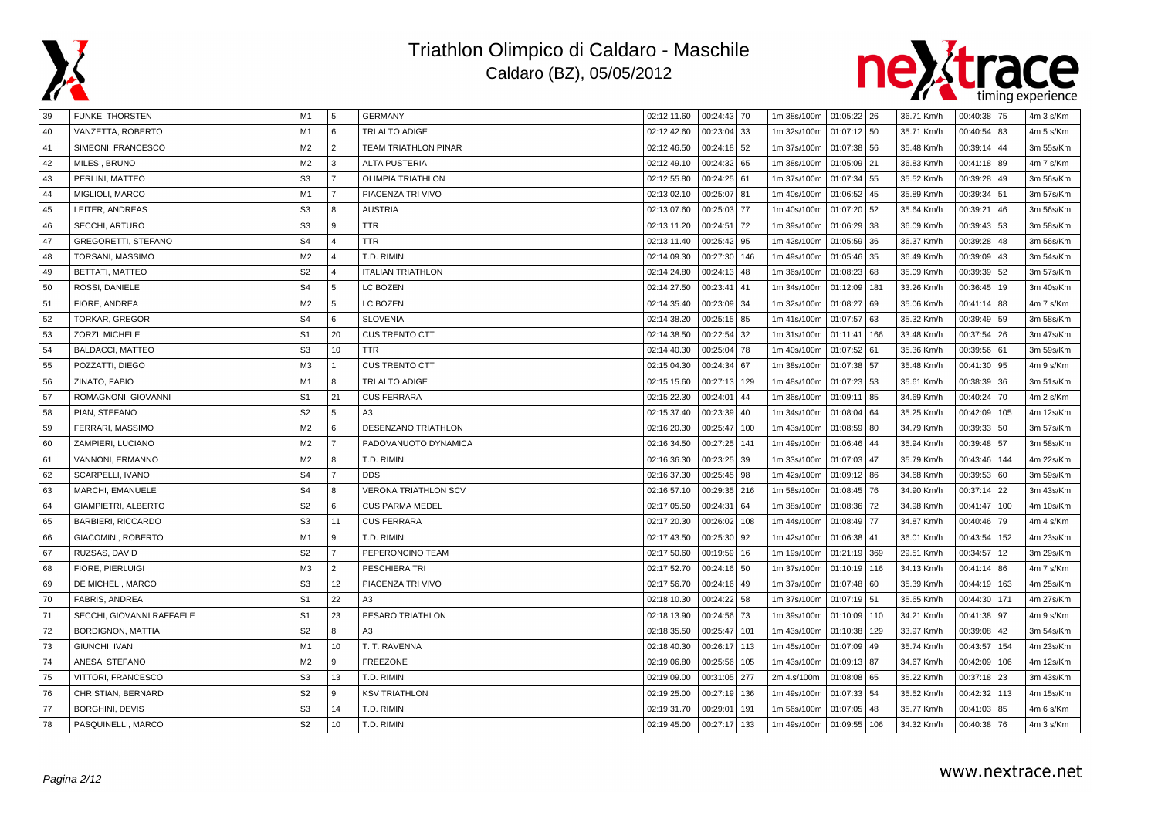



| 39 | FUNKE, THORSTEN            | M1             | 5              | GERMANY                     | 02:12:11.60 | 00:24:43 70     | 1m 38s/100m 01:05:22 26 |               | 36.71 Km/h | 00:40:38 | 75   | 4m 3 s/Km |
|----|----------------------------|----------------|----------------|-----------------------------|-------------|-----------------|-------------------------|---------------|------------|----------|------|-----------|
| 40 | VANZETTA, ROBERTO          | M1             | 6              | TRI ALTO ADIGE              | 02:12:42.60 | 00:23:04 33     | 1m 32s/100m             | 01:07:12 50   | 35.71 Km/h | 00:40:54 | 83   | 4m 5 s/Km |
| 41 | SIMEONI, FRANCESCO         | M2             | $\overline{2}$ | <b>TEAM TRIATHLON PINAR</b> | 02:12:46.50 | 00:24:18<br>52  | 1m 37s/100m             | 01:07:38 56   | 35.48 Km/h | 00:39:14 | 44   | 3m 55s/Km |
| 42 | MILESI, BRUNO              | M2             | 3              | <b>ALTA PUSTERIA</b>        | 02:12:49.10 | 00:24:32 65     | 1m 38s/100m             | 01:05:09 21   | 36.83 Km/h | 00:41:18 | 89   | 4m 7 s/Km |
| 43 | PERLINI, MATTEO            | S <sub>3</sub> | $\overline{7}$ | <b>OLIMPIA TRIATHLON</b>    | 02:12:55.80 | 00:24:25 61     | 1m 37s/100m             | 01:07:34 55   | 35.52 Km/h | 00:39:28 | 49   | 3m 56s/Km |
| 44 | MIGLIOLI, MARCO            | M1             | $\overline{7}$ | PIACENZA TRI VIVO           | 02:13:02.10 | 00:25:07<br>81  | 1m 40s/100m             | 01:06:52 45   | 35.89 Km/h | 00:39:34 | 51   | 3m 57s/Km |
| 45 | LEITER, ANDREAS            | S <sub>3</sub> | 8              | <b>AUSTRIA</b>              | 02:13:07.60 | 00:25:03<br>77  | 1m 40s/100m             | 01:07:20 52   | 35.64 Km/h | 00:39:21 | 46   | 3m 56s/Km |
| 46 | SECCHI, ARTURO             | S <sub>3</sub> | 9              | <b>TTR</b>                  | 02:13:11.20 | 00:24:51<br>72  | 1m 39s/100m             | $01:06:29$ 38 | 36.09 Km/h | 00:39:43 | 53   | 3m 58s/Km |
| 47 | <b>GREGORETTI, STEFANO</b> | S <sub>4</sub> | $\overline{4}$ | <b>TTR</b>                  | 02:13:11.40 | 00:25:42<br>95  | 1m 42s/100m             | 01:05:59 36   | 36.37 Km/h | 00:39:28 | 48   | 3m 56s/Km |
| 48 | TORSANI, MASSIMO           | M <sub>2</sub> | $\overline{4}$ | T.D. RIMINI                 | 02:14:09.30 | 00:27:30<br>146 | 1m 49s/100m             | 01:05:46 35   | 36.49 Km/h | 00:39:09 | 43   | 3m 54s/Km |
| 49 | <b>BETTATI, MATTEO</b>     | S <sub>2</sub> | $\overline{4}$ | <b>ITALIAN TRIATHLON</b>    | 02:14:24.80 | 00:24:13<br>48  | 1m 36s/100m             | 01:08:23 68   | 35.09 Km/h | 00:39:39 | 52   | 3m 57s/Km |
| 50 | ROSSI, DANIELE             | S <sub>4</sub> | 5              | LC BOZEN                    | 02:14:27.50 | 00:23:41<br>41  | 1m 34s/100m             | 01:12:09 181  | 33.26 Km/h | 00:36:45 | 19   | 3m 40s/Km |
| 51 | FIORE, ANDREA              | M <sub>2</sub> | 5              | LC BOZEN                    | 02:14:35.40 | 00:23:09 34     | 1m 32s/100m             | 01:08:27 69   | 35.06 Km/h | 00:41:14 | 88   | 4m 7 s/Km |
| 52 | TORKAR, GREGOR             | S <sub>4</sub> | <b>6</b>       | <b>SLOVENIA</b>             | 02:14:38.20 | 00:25:15 85     | 1m 41s/100m             | 01:07:57 63   | 35.32 Km/h | 00:39:49 | 59   | 3m 58s/Km |
| 53 | ZORZI, MICHELE             | S <sub>1</sub> | 20             | <b>CUS TRENTO CTT</b>       | 02:14:38.50 | 00:22:54<br>32  | 1m 31s/100m             | 01:11:41 166  | 33.48 Km/h | 00:37:54 | 26   | 3m 47s/Km |
| 54 | <b>BALDACCI, MATTEO</b>    | S <sub>3</sub> | 10             | <b>TTR</b>                  | 02:14:40.30 | 00:25:04<br>78  | 1m 40s/100m             | 01:07:52 61   | 35.36 Km/h | 00:39:56 | 61   | 3m 59s/Km |
| 55 | POZZATTI, DIEGO            | M <sub>3</sub> | $\overline{1}$ | <b>CUS TRENTO CTT</b>       | 02:15:04.30 | 00:24:34 67     | 1m 38s/100m             | 01:07:38 57   | 35.48 Km/h | 00:41:30 | 95   | 4m 9 s/Km |
| 56 | ZINATO, FABIO              | M1             | 8              | TRI ALTO ADIGE              | 02:15:15.60 | 00:27:13<br>129 | 1m 48s/100m             | 01:07:23 53   | 35.61 Km/h | 00:38:39 | 36   | 3m 51s/Km |
| 57 | ROMAGNONI, GIOVANNI        | S <sub>1</sub> | 21             | <b>CUS FERRARA</b>          | 02:15:22.30 | 00:24:01<br>44  | 1m 36s/100m             | 01:09:11 85   | 34.69 Km/h | 00:40:24 | 70   | 4m 2 s/Km |
| 58 | PIAN, STEFANO              | S <sub>2</sub> | 5              | A3                          | 02:15:37.40 | 00:23:39<br>40  | 1m 34s/100m             | 01:08:04 64   | 35.25 Km/h | 00:42:09 | 105  | 4m 12s/Km |
| 59 | FERRARI, MASSIMO           | M2             | 6              | DESENZANO TRIATHLON         | 02:16:20.30 | 00:25:47<br>100 | 1m 43s/100m             | 01:08:59 80   | 34.79 Km/h | 00:39:33 | 50   | 3m 57s/Km |
| 60 | ZAMPIERI, LUCIANO          | M2             | $\overline{7}$ | PADOVANUOTO DYNAMICA        | 02:16:34.50 | 00:27:25<br>141 | 1m 49s/100m             | 01:06:46 44   | 35.94 Km/h | 00:39:48 | 57   | 3m 58s/Km |
| 61 | VANNONI, ERMANNO           | M2             | 8              | T.D. RIMINI                 | 02:16:36.30 | 00:23:25<br>39  | 1m 33s/100m             | 01:07:03 47   | 35.79 Km/h | 00:43:46 | 144  | 4m 22s/Km |
| 62 | SCARPELLI, IVANO           | S <sub>4</sub> | $\overline{7}$ | <b>DDS</b>                  | 02:16:37.30 | 00:25:45<br>98  | 1m 42s/100m             | 01:09:12 86   | 34.68 Km/h | 00:39:53 | 60   | 3m 59s/Km |
| 63 | MARCHI, EMANUELE           | S <sub>4</sub> | 8              | VERONA TRIATHLON SCV        | 02:16:57.10 | 00:29:35<br>216 | 1m 58s/100m             | 01:08:45 76   | 34.90 Km/h | 00:37:14 | 22   | 3m 43s/Km |
| 64 | GIAMPIETRI, ALBERTO        | S <sub>2</sub> | 6              | <b>CUS PARMA MEDEL</b>      | 02:17:05.50 | 00:24:31<br>64  | 1m 38s/100m             | 01:08:36 72   | 34.98 Km/h | 00:41:47 | 100  | 4m 10s/Km |
| 65 | <b>BARBIERI, RICCARDO</b>  | S <sub>3</sub> | 11             | <b>CUS FERRARA</b>          | 02:17:20.30 | 00:26:02<br>108 | 1m 44s/100m             | 01:08:49 77   | 34.87 Km/h | 00:40:46 | 79   | 4m 4 s/Km |
| 66 | GIACOMINI, ROBERTO         | M1             | 9              | T.D. RIMINI                 | 02:17:43.50 | 00:25:30<br>92  | 1m 42s/100m             | 01:06:38 41   | 36.01 Km/h | 00:43:54 | 152  | 4m 23s/Km |
| 67 | RUZSAS, DAVID              | S <sub>2</sub> | $\overline{7}$ | PEPERONCINO TEAM            | 02:17:50.60 | 00:19:59<br>16  | 1m 19s/100m             | 01:21:19 369  | 29.51 Km/h | 00:34:57 | 12   | 3m 29s/Km |
| 68 | <b>FIORE, PIERLUIGI</b>    | M <sub>3</sub> | $\overline{2}$ | <b>PESCHIERA TRI</b>        | 02:17:52.70 | 00:24:16 50     | 1m 37s/100m             | 01:10:19 116  | 34.13 Km/h | 00:41:14 | 86   | 4m 7 s/Km |
| 69 | DE MICHELI, MARCO          | S <sub>3</sub> | 12             | PIACENZA TRI VIVO           | 02:17:56.70 | 00:24:16<br>49  | 1m 37s/100m             | 01:07:48 60   | 35.39 Km/h | 00:44:19 | 163  | 4m 25s/Km |
| 70 | <b>FABRIS, ANDREA</b>      | S <sub>1</sub> | 22             | A3                          | 02:18:10.30 | 00:24:22 58     | 1m 37s/100m             | 01:07:19 51   | 35.65 Km/h | 00:44:30 | 171  | 4m 27s/Km |
| 71 | SECCHI, GIOVANNI RAFFAELE  | S <sub>1</sub> | 23             | PESARO TRIATHLON            | 02:18:13.90 | 00:24:56<br>73  | 1m 39s/100m             | 01:10:09 110  | 34.21 Km/h | 00:41:38 | 97   | 4m 9 s/Km |
| 72 | <b>BORDIGNON, MATTIA</b>   | S <sub>2</sub> | 8              | A <sub>3</sub>              | 02:18:35.50 | 00:25:47<br>101 | 1m 43s/100m             | 01:10:38 129  | 33.97 Km/h | 00:39:08 | 42   | 3m 54s/Km |
| 73 | GIUNCHI, IVAN              | M1             | 10             | T. T. RAVENNA               | 02:18:40.30 | 00:26:17<br>113 | 1m 45s/100m             | 01:07:09 49   | 35.74 Km/h | 00:43:57 | 154  | 4m 23s/Km |
| 74 | ANESA, STEFANO             | M <sub>2</sub> | 9              | <b>FREEZONE</b>             | 02:19:06.80 | 00:25:56<br>105 | 1m 43s/100m             | 01:09:13 87   | 34.67 Km/h | 00:42:09 | 106  | 4m 12s/Km |
| 75 | VITTORI, FRANCESCO         | S <sub>3</sub> | 13             | T.D. RIMINI                 | 02:19:09.00 | 00:31:05<br>277 | 2m 4.s/100m             | 01:08:08 65   | 35.22 Km/h | 00:37:18 | 23   | 3m 43s/Km |
| 76 | CHRISTIAN, BERNARD         | S <sub>2</sub> | 9              | <b>KSV TRIATHLON</b>        | 02:19:25.00 | 00:27:19<br>136 | 1m 49s/100m             | 01:07:33 54   | 35.52 Km/h | 00:42:32 | 113  | 4m 15s/Km |
| 77 | <b>BORGHINI, DEVIS</b>     | S <sub>3</sub> | 14             | T.D. RIMINI                 | 02:19:31.70 | 00:29:01<br>191 | 1m 56s/100m             | 01:07:05 48   | 35.77 Km/h | 00:41:03 | 85   | 4m 6 s/Km |
| 78 | PASQUINELLI, MARCO         | S <sub>2</sub> | 10             | T.D. RIMINI                 | 02:19:45.00 | 00:27:17 133    | 1m 49s/100m             | 01:09:55 106  | 34.32 Km/h | 00:40:38 | l 76 | 4m 3 s/Km |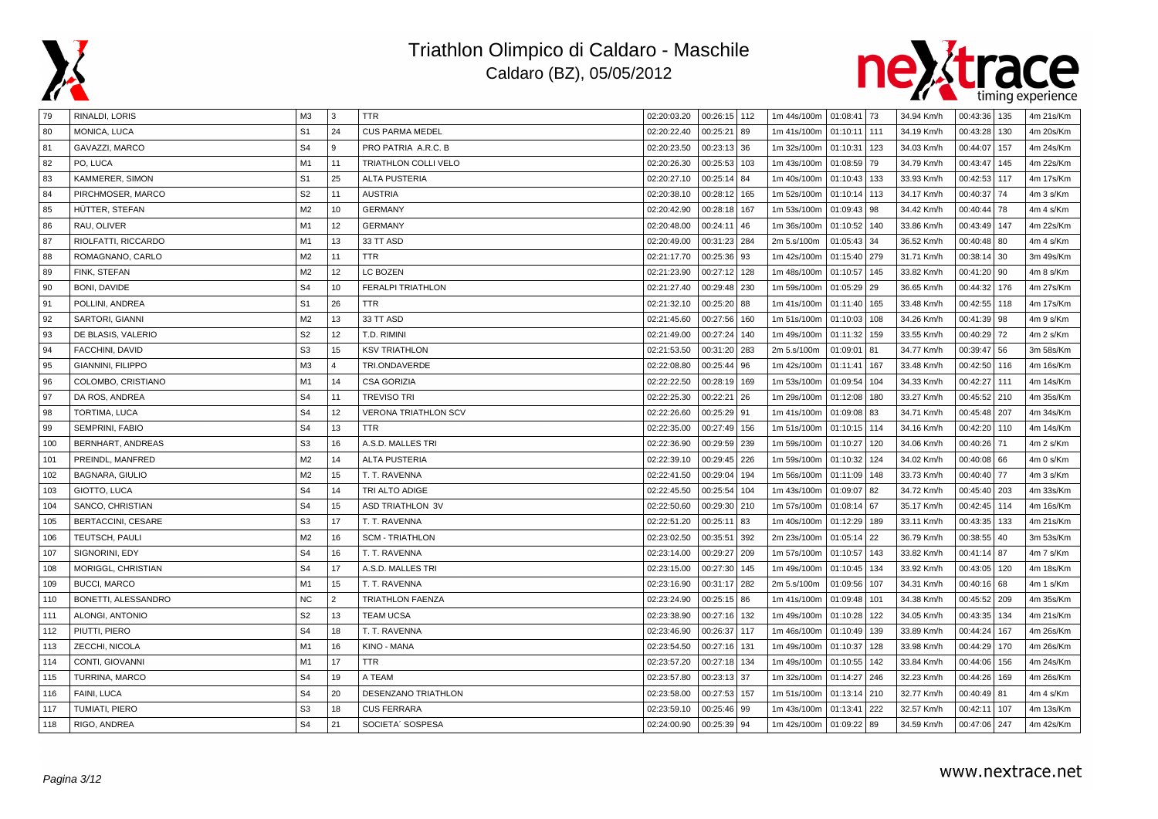



| 79  | RINALDI, LORIS           | ΜЗ             | l 3            | TTR                         | 02:20:03.20 | $00:26:15$ 112  | 1m 44s/100m 01:08:41 73 |              |     | 34.94 Km/h | 00:43:36   135   | 4m 21s/Km |
|-----|--------------------------|----------------|----------------|-----------------------------|-------------|-----------------|-------------------------|--------------|-----|------------|------------------|-----------|
| 80  | MONICA, LUCA             | S <sub>1</sub> | 24             | <b>CUS PARMA MEDEL</b>      | 02:20:22.40 | 00:25:21<br>89  | 1m 41s/100m             | 01:10:11 111 |     | 34.19 Km/h | 00:43:28<br>130  | 4m 20s/Km |
| 81  | GAVAZZI, MARCO           | S <sub>4</sub> | 9              | PRO PATRIA A.R.C. B         | 02:20:23.50 | 00:23:13<br>36  | 1m 32s/100m             | 01:10:31     | 123 | 34.03 Km/h | 00:44:07<br>157  | 4m 24s/Km |
| 82  | PO, LUCA                 | M <sub>1</sub> | 11             | TRIATHLON COLLI VELO        | 02:20:26.30 | 00:25:53<br>103 | 1m 43s/100m             | 01:08:59     | 79  | 34.79 Km/h | 00:43:47<br>145  | 4m 22s/Km |
| 83  | KAMMERER, SIMON          | S <sub>1</sub> | 25             | <b>ALTA PUSTERIA</b>        | 02:20:27.10 | 00:25:14<br>84  | 1m 40s/100m             | 01:10:43     | 133 | 33.93 Km/h | 00:42:53 117     | 4m 17s/Km |
| 84  | PIRCHMOSER, MARCO        | S <sub>2</sub> | 11             | <b>AUSTRIA</b>              | 02:20:38.10 | 00:28:12<br>165 | 1m 52s/100m             | 01:10:14     | 113 | 34.17 Km/h | 00:40:37<br>  74 | 4m 3 s/Km |
| 85  | HÜTTER, STEFAN           | M <sub>2</sub> | 10             | <b>GERMANY</b>              | 02:20:42.90 | 00:28:18<br>167 | 1m 53s/100m             | 01:09:43     | 98  | 34.42 Km/h | 00:40:44<br>l 78 | 4m 4 s/Km |
| 86  | RAU, OLIVER              | M1             | 12             | <b>GERMANY</b>              | 02:20:48.00 | 00:24:11<br>46  | 1m 36s/100m             | 01:10:52     | 140 | 33.86 Km/h | 00:43:49 147     | 4m 22s/Km |
| 87  | RIOLFATTI, RICCARDO      | M1             | 13             | 33 TT ASD                   | 02:20:49.00 | 00:31:23<br>284 | 2m 5.s/100m             | 01:05:43     | 34  | 36.52 Km/h | 00:40:48 80      | 4m 4 s/Km |
| 88  | ROMAGNANO, CARLO         | M <sub>2</sub> | 11             | <b>TTR</b>                  | 02:21:17.70 | 00:25:36<br>93  | 1m 42s/100m             | 01:15:40     | 279 | 31.71 Km/h | 00:38:14 30      | 3m 49s/Km |
| 89  | FINK, STEFAN             | M <sub>2</sub> | 12             | LC BOZEN                    | 02:21:23.90 | 00:27:12<br>128 | 1m 48s/100m             | 01:10:57     | 145 | 33.82 Km/h | $00:41:20$ 90    | 4m 8 s/Km |
| 90  | BONI, DAVIDE             | S <sub>4</sub> | 10             | <b>FERALPI TRIATHLON</b>    | 02:21:27.40 | 00:29:48<br>230 | 1m 59s/100m             | 01:05:29 29  |     | 36.65 Km/h | 00:44:32 176     | 4m 27s/Km |
| 91  | POLLINI, ANDREA          | S <sub>1</sub> | 26             | TTR.                        | 02:21:32.10 | 00:25:20<br>88  | 1m 41s/100m             | 01:11:40     | 165 | 33.48 Km/h | 00:42:55 118     | 4m 17s/Km |
| 92  | <b>SARTORI, GIANNI</b>   | M <sub>2</sub> | 13             | 33 TT ASD                   | 02:21:45.60 | 00:27:56<br>160 | 1m 51s/100m             | 01:10:03     | 108 | 34.26 Km/h | $00:41:39$ 98    | 4m 9 s/Km |
| 93  | DE BLASIS, VALERIO       | S <sub>2</sub> | 12             | T.D. RIMINI                 | 02:21:49.00 | 00:27:24<br>140 | 1m 49s/100m             | 01:11:32     | 159 | 33.55 Km/h | 00:40:29<br>  72 | 4m 2 s/Km |
| 94  | FACCHINI, DAVID          | S <sub>3</sub> | 15             | <b>KSV TRIATHLON</b>        | 02:21:53.50 | 00:31:20<br>283 | 2m 5.s/100m             | 01:09:01     | 81  | 34.77 Km/h | 00:39:47<br>56   | 3m 58s/Km |
| 95  | <b>GIANNINI, FILIPPO</b> | M <sub>3</sub> | $\overline{4}$ | TRI.ONDAVERDE               | 02:22:08.80 | 00:25:44<br>96  | 1m 42s/100m             | 01:11:41     | 167 | 33.48 Km/h | 00:42:50 116     | 4m 16s/Km |
| 96  | COLOMBO, CRISTIANO       | M1             | 14             | <b>CSA GORIZIA</b>          | 02:22:22.50 | 00:28:19<br>169 | 1m 53s/100m             | 01:09:54     | 104 | 34.33 Km/h | 00:42:27<br>111  | 4m 14s/Km |
| 97  | DA ROS, ANDREA           | S <sub>4</sub> | 11             | <b>TREVISO TRI</b>          | 02:22:25.30 | 00:22:21<br>26  | 1m 29s/100m             | 01:12:08     | 180 | 33.27 Km/h | 00:45:52<br>1210 | 4m 35s/Km |
| 98  | TORTIMA, LUCA            | S <sub>4</sub> | 12             | <b>VERONA TRIATHLON SCV</b> | 02:22:26.60 | 00:25:29<br>91  | 1m 41s/100m             | 01:09:08     | 83  | 34.71 Km/h | 00:45:48 207     | 4m 34s/Km |
| 99  | SEMPRINI, FABIO          | S <sub>4</sub> | 13             | <b>TTR</b>                  | 02:22:35.00 | 00:27:49<br>156 | 1m 51s/100m             | 01:10:15     | 114 | 34.16 Km/h | 00:42:20 110     | 4m 14s/Km |
| 100 | BERNHART, ANDREAS        | S <sub>3</sub> | 16             | A.S.D. MALLES TRI           | 02:22:36.90 | 00:29:59<br>239 | 1m 59s/100m             | 01:10:27     | 120 | 34.06 Km/h | 00:40:26 71      | 4m 2 s/Km |
| 101 | PREINDL, MANFRED         | M <sub>2</sub> | 14             | <b>ALTA PUSTERIA</b>        | 02:22:39.10 | 00:29:45<br>226 | 1m 59s/100m             | 01:10:32     | 124 | 34.02 Km/h | 00:40:08 66      | 4m 0 s/Km |
| 102 | <b>BAGNARA, GIULIO</b>   | M <sub>2</sub> | 15             | T. T. RAVENNA               | 02:22:41.50 | 00:29:04<br>194 | 1m 56s/100m             | 01:11:09     | 148 | 33.73 Km/h | 00:40:40<br>  77 | 4m 3 s/Km |
| 103 | GIOTTO, LUCA             | S <sub>4</sub> | 14             | TRI ALTO ADIGE              | 02:22:45.50 | 00:25:54<br>104 | 1m 43s/100m             | 01:09:07     | 82  | 34.72 Km/h | 00:45:40   203   | 4m 33s/Km |
| 104 | SANCO, CHRISTIAN         | S <sub>4</sub> | 15             | <b>ASD TRIATHLON 3V</b>     | 02:22:50.60 | 00:29:30<br>210 | 1m 57s/100m             | 01:08:14 67  |     | 35.17 Km/h | 00:42:45 114     | 4m 16s/Km |
| 105 | BERTACCINI, CESARE       | S <sub>3</sub> | 17             | T. T. RAVENNA               | 02:22:51.20 | 00:25:11<br>83  | 1m 40s/100m             | 01:12:29     | 189 | 33.11 Km/h | 00:43:35<br>133  | 4m 21s/Km |
| 106 | TEUTSCH, PAULI           | M <sub>2</sub> | 16             | <b>SCM - TRIATHLON</b>      | 02:23:02.50 | 00:35:51<br>392 | 2m 23s/100m             | 01:05:14     | 22  | 36.79 Km/h | 00:38:55<br>40   | 3m 53s/Km |
| 107 | SIGNORINI, EDY           | S <sub>4</sub> | 16             | T. T. RAVENNA               | 02:23:14.00 | 00:29:27<br>209 | 1m 57s/100m             | 01:10:57     | 143 | 33.82 Km/h | 00:41:14<br>87   | 4m 7 s/Km |
| 108 | MORIGGL, CHRISTIAN       | S <sub>4</sub> | 17             | A.S.D. MALLES TRI           | 02:23:15.00 | 00:27:30<br>145 | 1m 49s/100m             | 01:10:45     | 134 | 33.92 Km/h | 00:43:05   120   | 4m 18s/Km |
| 109 | <b>BUCCI, MARCO</b>      | M <sub>1</sub> | 15             | T. T. RAVENNA               | 02:23:16.90 | 00:31:17<br>282 | 2m 5.s/100m             | 01:09:56     | 107 | 34.31 Km/h | $00:40:16$ 68    | 4m 1 s/Km |
| 110 | BONETTI, ALESSANDRO      | <b>NC</b>      | $\overline{2}$ | <b>TRIATHLON FAENZA</b>     | 02:23:24.90 | 00:25:15<br>86  | 1m 41s/100m             | 01:09:48     | 101 | 34.38 Km/h | 00:45:52   209   | 4m 35s/Km |
| 111 | ALONGI, ANTONIO          | S <sub>2</sub> | 13             | <b>TEAM UCSA</b>            | 02:23:38.90 | 00:27:16<br>132 | 1m 49s/100m             | 01:10:28     | 122 | 34.05 Km/h | 00:43:35<br>134  | 4m 21s/Km |
| 112 | PIUTTI, PIERO            | S <sub>4</sub> | 18             | T. T. RAVENNA               | 02:23:46.90 | 00:26:37<br>117 | 1m 46s/100m             | 01:10:49     | 139 | 33.89 Km/h | 00:44:24<br>167  | 4m 26s/Km |
| 113 | ZECCHI, NICOLA           | M1             | 16             | <b>KINO - MANA</b>          | 02:23:54.50 | 00:27:16<br>131 | 1m 49s/100m             | 01:10:37     | 128 | 33.98 Km/h | 00:44:29<br>170  | 4m 26s/Km |
| 114 | CONTI, GIOVANNI          | M1             | 17             | <b>TTR</b>                  | 02:23:57.20 | 00:27:18<br>134 | 1m 49s/100m             | 01:10:55     | 142 | 33.84 Km/h | 00:44:06<br>156  | 4m 24s/Km |
| 115 | TURRINA, MARCO           | S <sub>4</sub> | 19             | A TEAM                      | 02:23:57.80 | 00:23:13<br>37  | 1m 32s/100m             | 01:14:27     | 246 | 32.23 Km/h | 00:44:26<br>169  | 4m 26s/Km |
| 116 | FAINI, LUCA              | S <sub>4</sub> | 20             | DESENZANO TRIATHLON         | 02:23:58.00 | 00:27:53<br>157 | 1m 51s/100m             | 01:13:14     | 210 | 32.77 Km/h | 00:40:49 81      | 4m 4 s/Km |
| 117 | TUMIATI, PIERO           | S <sub>3</sub> | 18             | <b>CUS FERRARA</b>          | 02:23:59.10 | 00:25:46<br>99  | 1m 43s/100m             | 01:13:41     | 222 | 32.57 Km/h | 00:42:11<br>107  | 4m 13s/Km |
| 118 | RIGO, ANDREA             | S <sub>4</sub> | 21             | SOCIETA' SOSPESA            | 02:24:00.90 | 00:25:39 94     | 1m 42s/100m 01:09:22 89 |              |     | 34.59 Km/h | 00:47:06 247     | 4m 42s/Km |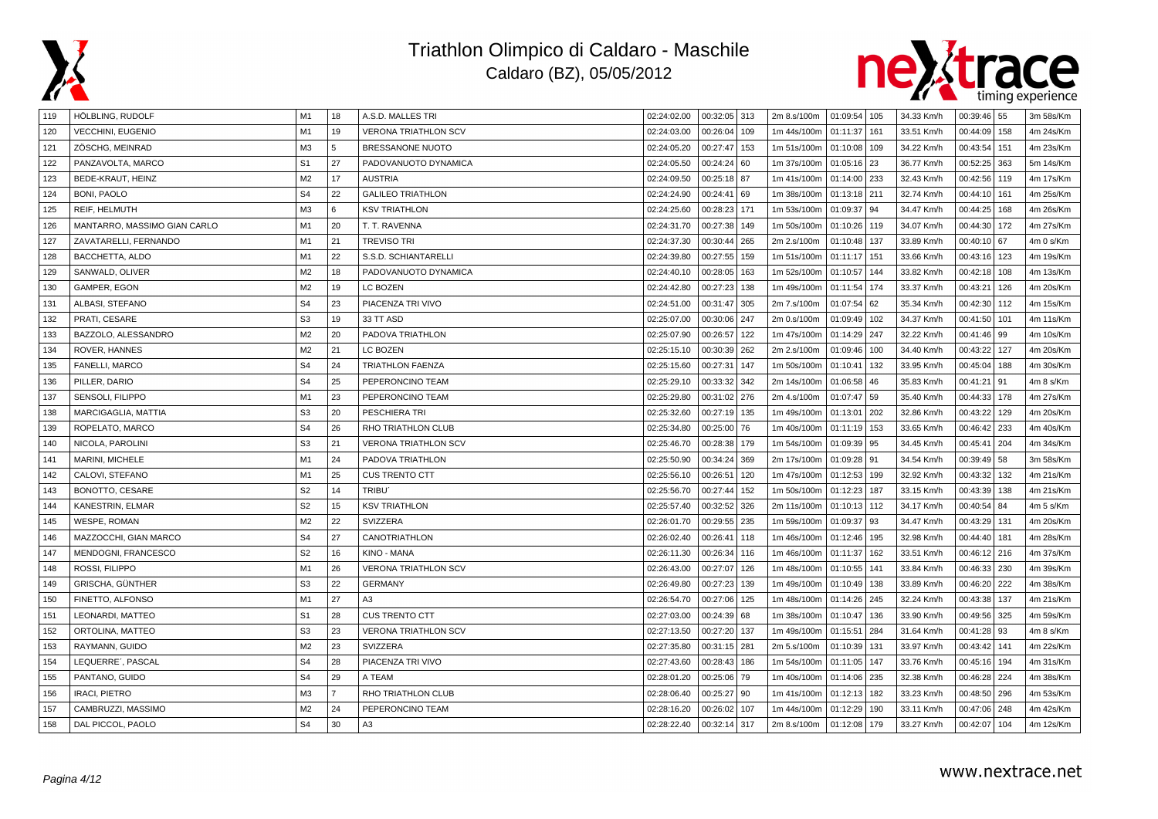



| 119 | HOLBLING, RUDOLF             | M1             | 18             | A.S.D. MALLES TRI           | 02:24:02.00 | 00:32:05 313    | 2m 8.s/100m   01:09:54   105 |          |     | 34.33 Km/h | $00:39:46$ 55     | 3m 58s/Km |
|-----|------------------------------|----------------|----------------|-----------------------------|-------------|-----------------|------------------------------|----------|-----|------------|-------------------|-----------|
| 120 | <b>VECCHINI, EUGENIO</b>     | M1             | 19             | <b>VERONA TRIATHLON SCV</b> | 02:24:03.00 | 00:26:04<br>109 | 1m 44s/100m                  | 01:11:37 | 161 | 33.51 Km/h | 00:44:09<br>  158 | 4m 24s/Km |
| 121 | ZÖSCHG, MEINRAD              | M3             | 5              | BRESSANONE NUOTO            | 02:24:05.20 | 00:27:47<br>153 | 1m 51s/100m                  | 01:10:08 | 109 | 34.22 Km/h | 00:43:54<br>151   | 4m 23s/Km |
| 122 | PANZAVOLTA, MARCO            | S <sub>1</sub> | 27             | PADOVANUOTO DYNAMICA        | 02:24:05.50 | 00:24:24<br>60  | 1m 37s/100m                  | 01:05:16 | 23  | 36.77 Km/h | 00:52:25 363      | 5m 14s/Km |
| 123 | BEDE-KRAUT, HEINZ            | M <sub>2</sub> | 17             | <b>AUSTRIA</b>              | 02:24:09.50 | 00:25:18<br>87  | 1m 41s/100m                  | 01:14:00 | 233 | 32.43 Km/h | 00:42:56 119      | 4m 17s/Km |
| 124 | BONI, PAOLO                  | S <sub>4</sub> | 22             | <b>GALILEO TRIATHLON</b>    | 02:24:24.90 | 00:24:41<br>69  | 1m 38s/100m                  | 01:13:18 | 211 | 32.74 Km/h | 00:44:10 161      | 4m 25s/Km |
| 125 | REIF, HELMUTH                | M <sub>3</sub> | 6              | <b>KSV TRIATHLON</b>        | 02:24:25.60 | 00:28:23<br>171 | 1m 53s/100m                  | 01:09:37 | 94  | 34.47 Km/h | 00:44:25<br>168   | 4m 26s/Km |
| 126 | MANTARRO. MASSIMO GIAN CARLO | M1             | 20             | T. T. RAVENNA               | 02:24:31.70 | 00:27:38<br>149 | 1m 50s/100m                  | 01:10:26 | 119 | 34.07 Km/h | 00:44:30 172      | 4m 27s/Km |
| 127 | ZAVATARELLI, FERNANDO        | M <sub>1</sub> | 21             | <b>TREVISO TRI</b>          | 02:24:37.30 | 00:30:44<br>265 | 2m 2.s/100m                  | 01:10:48 | 137 | 33.89 Km/h | 00:40:10 67       | 4m 0 s/Km |
| 128 | BACCHETTA, ALDO              | M1             | 22             | S.S.D. SCHIANTARELLI        | 02:24:39.80 | 00:27:55<br>159 | 1m 51s/100m                  | 01:11:17 | 151 | 33.66 Km/h | 00:43:16 123      | 4m 19s/Km |
| 129 | SANWALD, OLIVER              | M <sub>2</sub> | 18             | PADOVANUOTO DYNAMICA        | 02:24:40.10 | 00:28:05<br>163 | 1m 52s/100m                  | 01:10:57 | 144 | 33.82 Km/h | 00:42:18<br>108   | 4m 13s/Km |
| 130 | GAMPER, EGON                 | M2             | 19             | LC BOZEN                    | 02:24:42.80 | 00:27:23<br>138 | 1m 49s/100m                  | 01:11:54 | 174 | 33.37 Km/h | 00:43:21<br>126   | 4m 20s/Km |
| 131 | ALBASI, STEFANO              | S <sub>4</sub> | 23             | PIACENZA TRI VIVO           | 02:24:51.00 | 00:31:47<br>305 | 2m 7.s/100m                  | 01:07:54 | 62  | 35.34 Km/h | 00:42:30 112      | 4m 15s/Km |
| 132 | PRATI, CESARE                | S <sub>3</sub> | 19             | 33 TT ASD                   | 02:25:07.00 | 00:30:06<br>247 | 2m 0.s/100m                  | 01:09:49 | 102 | 34.37 Km/h | 00:41:50 101      | 4m 11s/Km |
| 133 | BAZZOLO, ALESSANDRO          | M <sub>2</sub> | 20             | PADOVA TRIATHLON            | 02:25:07.90 | 00:26:57<br>122 | 1m 47s/100m                  | 01:14:29 | 247 | 32.22 Km/h | 00:41:46 99       | 4m 10s/Km |
| 134 | ROVER, HANNES                | M2             | 21             | <b>LC BOZEN</b>             | 02:25:15.10 | 00:30:39<br>262 | 2m 2.s/100m                  | 01:09:46 | 100 | 34.40 Km/h | 00:43:22<br>l 127 | 4m 20s/Km |
| 135 | FANELLI, MARCO               | S <sub>4</sub> | 24             | <b>TRIATHLON FAENZA</b>     | 02:25:15.60 | 00:27:31<br>147 | 1m 50s/100m                  | 01:10:41 | 132 | 33.95 Km/h | 00:45:04<br>  188 | 4m 30s/Km |
| 136 | PILLER, DARIO                | S <sub>4</sub> | 25             | PEPERONCINO TEAM            | 02:25:29.10 | 00:33:32<br>342 | 2m 14s/100m                  | 01:06:58 | 46  | 35.83 Km/h | 00:41:21<br>  91  | 4m 8 s/Km |
| 137 | SENSOLI, FILIPPO             | M1             | 23             | PEPERONCINO TEAM            | 02:25:29.80 | 00:31:02<br>276 | 2m 4.s/100m                  | 01:07:47 | 59  | 35.40 Km/h | 00:44:33<br>178   | 4m 27s/Km |
| 138 | MARCIGAGLIA, MATTIA          | S <sub>3</sub> | 20             | PESCHIERA TRI               | 02:25:32.60 | 00:27:19<br>135 | 1m 49s/100m                  | 01:13:01 | 202 | 32.86 Km/h | 00:43:22<br>129   | 4m 20s/Km |
| 139 | ROPELATO, MARCO              | S <sub>4</sub> | 26             | <b>RHO TRIATHLON CLUB</b>   | 02:25:34.80 | 00:25:00<br>76  | 1m 40s/100m                  | 01:11:19 | 153 | 33.65 Km/h | 00:46:42   233    | 4m 40s/Km |
| 140 | NICOLA, PAROLINI             | S <sub>3</sub> | 21             | <b>VERONA TRIATHLON SCV</b> | 02:25:46.70 | 00:28:38<br>179 | 1m 54s/100m                  | 01:09:39 | 95  | 34.45 Km/h | 00:45:41<br> 204  | 4m 34s/Km |
| 141 | MARINI, MICHELE              | M1             | 24             | PADOVA TRIATHLON            | 02:25:50.90 | 00:34:24<br>369 | 2m 17s/100m                  | 01:09:28 | 91  | 34.54 Km/h | 00:39:49 58       | 3m 58s/Km |
| 142 | CALOVI, STEFANO              | M1             | 25             | <b>CUS TRENTO CTT</b>       | 02:25:56.10 | 00:26:51<br>120 | 1m 47s/100m                  | 01:12:53 | 199 | 32.92 Km/h | 00:43:32<br>132   | 4m 21s/Km |
| 143 | BONOTTO, CESARE              | S <sub>2</sub> | 14             | TRIBU <sup>®</sup>          | 02:25:56.70 | 00:27:44<br>152 | 1m 50s/100m                  | 01:12:23 | 187 | 33.15 Km/h | 00:43:39<br>138   | 4m 21s/Km |
| 144 | KANESTRIN, ELMAR             | S <sub>2</sub> | 15             | <b>KSV TRIATHLON</b>        | 02:25:57.40 | 00:32:52<br>326 | 2m 11s/100m                  | 01:10:13 | 112 | 34.17 Km/h | 00:40:54<br>84    | 4m 5 s/Km |
| 145 | <b>WESPE, ROMAN</b>          | M <sub>2</sub> | 22             | SVIZZERA                    | 02:26:01.70 | 00:29:55<br>235 | 1m 59s/100m                  | 01:09:37 | 93  | 34.47 Km/h | 00:43:29<br>131   | 4m 20s/Km |
| 146 | MAZZOCCHI, GIAN MARCO        | S <sub>4</sub> | 27             | CANOTRIATHLON               | 02:26:02.40 | 00:26:41<br>118 | 1m 46s/100m                  | 01:12:46 | 195 | 32.98 Km/h | 00:44:40<br>181   | 4m 28s/Km |
| 147 | MENDOGNI, FRANCESCO          | S <sub>2</sub> | 16             | KINO - MANA                 | 02:26:11.30 | 00:26:34<br>116 | 1m 46s/100m                  | 01:11:37 | 162 | 33.51 Km/h | 00:46:12 216      | 4m 37s/Km |
| 148 | ROSSI, FILIPPO               | M <sub>1</sub> | 26             | <b>VERONA TRIATHLON SCV</b> | 02:26:43.00 | 00:27:07<br>126 | 1m 48s/100m                  | 01:10:55 | 141 | 33.84 Km/h | 00:46:33 230      | 4m 39s/Km |
| 149 | <b>GRISCHA, GÜNTHER</b>      | S <sub>3</sub> | 22             | <b>GERMANY</b>              | 02:26:49.80 | 00:27:23<br>139 | 1m 49s/100m                  | 01:10:49 | 138 | 33.89 Km/h | 00:46:20 222      | 4m 38s/Km |
| 150 | FINETTO, ALFONSO             | M1             | 27             | A3                          | 02:26:54.70 | 00:27:06<br>125 | 1m 48s/100m                  | 01:14:26 | 245 | 32.24 Km/h | 00:43:38 137      | 4m 21s/Km |
| 151 | LEONARDI, MATTEO             | S <sub>1</sub> | 28             | <b>CUS TRENTO CTT</b>       | 02:27:03.00 | 00:24:39<br>68  | 1m 38s/100m                  | 01:10:47 | 136 | 33.90 Km/h | 00:49:56 325      | 4m 59s/Km |
| 152 | ORTOLINA, MATTEO             | S <sub>3</sub> | 23             | <b>VERONA TRIATHLON SCV</b> | 02:27:13.50 | 00:27:20<br>137 | 1m 49s/100m                  | 01:15:51 | 284 | 31.64 Km/h | 00:41:28   93     | 4m 8 s/Km |
| 153 | RAYMANN, GUIDO               | M2             | 23             | SVIZZERA                    | 02:27:35.80 | 00:31:15<br>281 | 2m 5.s/100m                  | 01:10:39 | 131 | 33.97 Km/h | 00:43:42 141      | 4m 22s/Km |
| 154 | LEQUERRE', PASCAL            | S <sub>4</sub> | 28             | PIACENZA TRI VIVO           | 02:27:43.60 | 00:28:43<br>186 | 1m 54s/100m                  | 01:11:05 | 147 | 33.76 Km/h | 00:45:16<br>194   | 4m 31s/Km |
| 155 | PANTANO, GUIDO               | S <sub>4</sub> | 29             | A TEAM                      | 02:28:01.20 | 00:25:06<br>79  | 1m 40s/100m                  | 01:14:06 | 235 | 32.38 Km/h | 00:46:28 224      | 4m 38s/Km |
| 156 | <b>IRACI, PIETRO</b>         | M <sub>3</sub> | $\overline{7}$ | RHO TRIATHLON CLUB          | 02:28:06.40 | 00:25:27<br>90  | 1m 41s/100m                  | 01:12:13 | 182 | 33.23 Km/h | 00:48:50 296      | 4m 53s/Km |
| 157 | CAMBRUZZI, MASSIMO           | M <sub>2</sub> | 24             | PEPERONCINO TEAM            | 02:28:16.20 | 00:26:02<br>107 | 1m 44s/100m                  | 01:12:29 | 190 | 33.11 Km/h | 00:47:06 248      | 4m 42s/Km |
| 158 | DAL PICCOL. PAOLO            | S <sub>4</sub> | 30             | A3                          | 02:28:22.40 | 00:32:14 317    | 2m 8.s/100m                  | 01:12:08 | 179 | 33.27 Km/h | 00:42:07   104    | 4m 12s/Km |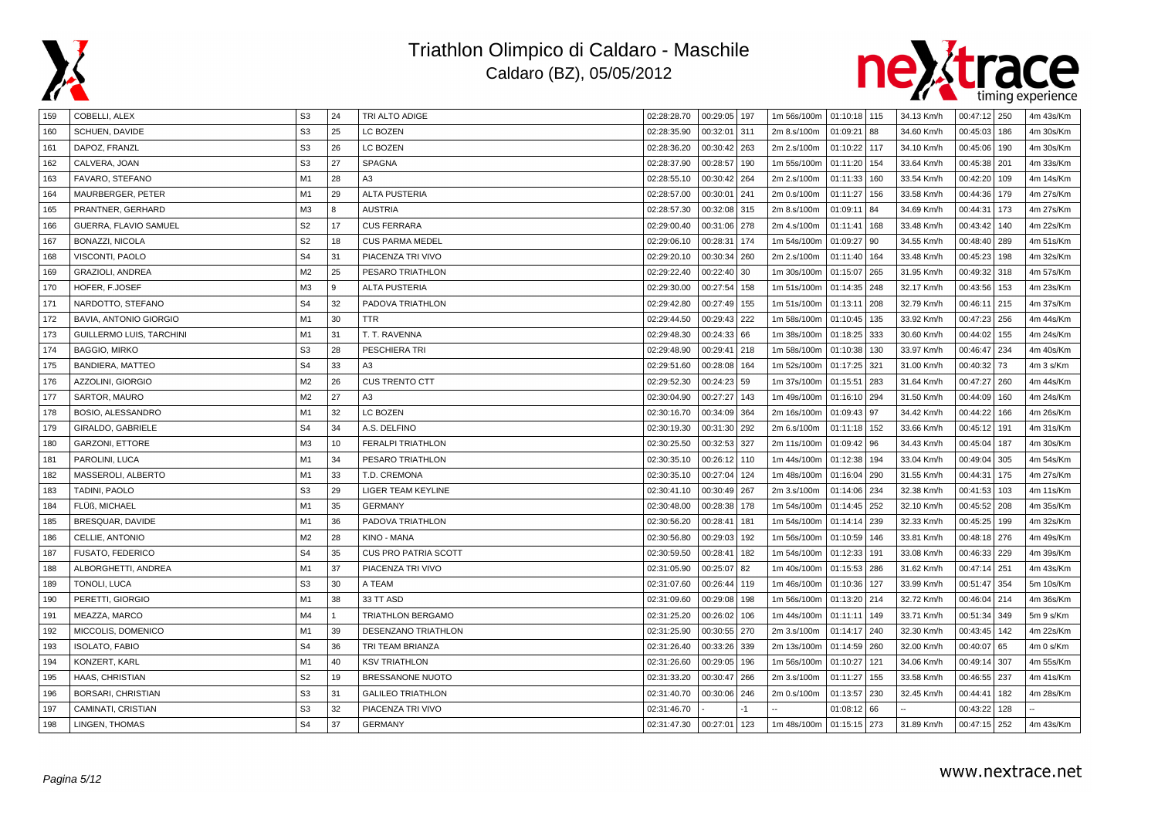



| 159 | COBELLI, ALEX            | S <sub>3</sub> | 24        | TRI ALTO ADIGE              | 02:28:28.70 | $00:29:05$ 197  | 1m 56s/100m   01:10:18   115 |              |     | 34.13 Km/h | $00:47:12$ 250 |     | 4m 43s/Km |
|-----|--------------------------|----------------|-----------|-----------------------------|-------------|-----------------|------------------------------|--------------|-----|------------|----------------|-----|-----------|
| 160 | SCHUEN, DAVIDE           | S <sub>3</sub> | 25        | <b>LC BOZEN</b>             | 02:28:35.90 | 00:32:01<br>311 | 2m 8.s/100m                  | 01:09:21 88  |     | 34.60 Km/h | 00:45:03       | 186 | 4m 30s/Km |
| 161 | DAPOZ, FRANZL            | S <sub>3</sub> | 26        | LC BOZEN                    | 02:28:36.20 | 00:30:42<br>263 | 2m 2.s/100m                  | 01:10:22 117 |     | 34.10 Km/h | 00:45:06       | 190 | 4m 30s/Km |
| 162 | CALVERA, JOAN            | S <sub>3</sub> | 27        | <b>SPAGNA</b>               | 02:28:37.90 | 00:28:57<br>190 | 1m 55s/100m                  | 01:11:20 154 |     | 33.64 Km/h | 00:45:38       | 201 | 4m 33s/Km |
| 163 | FAVARO, STEFANO          | M <sub>1</sub> | 28        | A <sub>3</sub>              | 02:28:55.10 | 00:30:42<br>264 | 2m 2.s/100m                  | 01:11:33 160 |     | 33.54 Km/h | 00:42:20       | 109 | 4m 14s/Km |
| 164 | MAURBERGER, PETER        | M <sub>1</sub> | 29        | <b>ALTA PUSTERIA</b>        | 02:28:57.00 | 00:30:01<br>241 | 2m 0.s/100m                  | 01:11:27 156 |     | 33.58 Km/h | 00:44:36       | 179 | 4m 27s/Km |
| 165 | PRANTNER, GERHARD        | M <sub>3</sub> | 8         | <b>AUSTRIA</b>              | 02:28:57.30 | 00:32:08<br>315 | 2m 8.s/100m                  | 01:09:11     | 84  | 34.69 Km/h | 00:44:31       | 173 | 4m 27s/Km |
| 166 | GUERRA, FLAVIO SAMUEL    | S <sub>2</sub> | 17        | <b>CUS FERRARA</b>          | 02:29:00.40 | 00:31:06<br>278 | 2m 4.s/100m                  | 01:11:41     | 168 | 33.48 Km/h | 00:43:42       | 140 | 4m 22s/Km |
| 167 | BONAZZI, NICOLA          | S <sub>2</sub> | 18        | <b>CUS PARMA MEDEL</b>      | 02:29:06.10 | 00:28:31<br>174 | 1m 54s/100m                  | 01:09:27 90  |     | 34.55 Km/h | 00:48:40       | 289 | 4m 51s/Km |
| 168 | VISCONTI, PAOLO          | S <sub>4</sub> | 31        | PIACENZA TRI VIVO           | 02:29:20.10 | 00:30:34<br>260 | 2m 2.s/100m                  | 01:11:40 164 |     | 33.48 Km/h | 00:45:23       | 198 | 4m 32s/Km |
| 169 | GRAZIOLI, ANDREA         | M <sub>2</sub> | 25        | PESARO TRIATHLON            | 02:29:22.40 | 00:22:40<br>30  | 1m 30s/100m                  | 01:15:07     | 265 | 31.95 Km/h | 00:49:32       | 318 | 4m 57s/Km |
| 170 | HOFER, F.JOSEF           | M3             | 9         | <b>ALTA PUSTERIA</b>        | 02:29:30.00 | 00:27:54<br>158 | 1m 51s/100m                  | 01:14:35 248 |     | 32.17 Km/h | 00:43:56       | 153 | 4m 23s/Km |
| 171 | NARDOTTO, STEFANO        | S <sub>4</sub> | 32        | PADOVA TRIATHLON            | 02:29:42.80 | 00:27:49<br>155 | 1m 51s/100m                  | 01:13:11 208 |     | 32.79 Km/h | 00:46:11       | 215 | 4m 37s/Km |
| 172 | BAVIA, ANTONIO GIORGIO   | M1             | 30        | <b>TTR</b>                  | 02:29:44.50 | 00:29:43<br>222 | 1m 58s/100m                  | 01:10:45 135 |     | 33.92 Km/h | 00:47:23       | 256 | 4m 44s/Km |
| 173 | GUILLERMO LUIS, TARCHINI | M1             | 31        | T. T. RAVENNA               | 02:29:48.30 | 00:24:33<br>66  | 1m 38s/100m                  | 01:18:25 333 |     | 30.60 Km/h | 00:44:02       | 155 | 4m 24s/Km |
| 174 | <b>BAGGIO, MIRKO</b>     | S <sub>3</sub> | 28        | PESCHIERA TRI               | 02:29:48.90 | 00:29:41<br>218 | 1m 58s/100m                  | 01:10:38 130 |     | 33.97 Km/h | 00:46:47       | 234 | 4m 40s/Km |
| 175 | <b>BANDIERA, MATTEO</b>  | S <sub>4</sub> | 33        | A <sub>3</sub>              | 02:29:51.60 | 00:28:08<br>164 | 1m 52s/100m                  | 01:17:25 321 |     | 31.00 Km/h | 00:40:32       | 73  | 4m 3 s/Km |
| 176 | AZZOLINI, GIORGIO        | M2             | 26        | <b>CUS TRENTO CTT</b>       | 02:29:52.30 | 00:24:23<br>59  | 1m 37s/100m                  | 01:15:51 283 |     | 31.64 Km/h | 00:47:27       | 260 | 4m 44s/Km |
| 177 | SARTOR, MAURO            | M <sub>2</sub> | 27        | A <sub>3</sub>              | 02:30:04.90 | 00:27:27<br>143 | 1m 49s/100m                  | 01:16:10 294 |     | 31.50 Km/h | 00:44:09       | 160 | 4m 24s/Km |
| 178 | BOSIO, ALESSANDRO        | M <sub>1</sub> | 32        | LC BOZEN                    | 02:30:16.70 | 00:34:09<br>364 | 2m 16s/100m                  | 01:09:43 97  |     | 34.42 Km/h | 00:44:22       | 166 | 4m 26s/Km |
| 179 | GIRALDO, GABRIELE        | S <sub>4</sub> | 34        | A.S. DELFINO                | 02:30:19.30 | 00:31:30<br>292 | 2m 6.s/100m                  | 01:11:18 152 |     | 33.66 Km/h | 00:45:12       | 191 | 4m 31s/Km |
| 180 | <b>GARZONI, ETTORE</b>   | M3             | 10        | <b>FERALPI TRIATHLON</b>    | 02:30:25.50 | 00:32:53<br>327 | 2m 11s/100m                  | 01:09:42 96  |     | 34.43 Km/h | 00:45:04       | 187 | 4m 30s/Km |
| 181 | PAROLINI, LUCA           | M1             | 34        | PESARO TRIATHLON            | 02:30:35.10 | 00:26:12<br>110 | 1m 44s/100m                  | 01:12:38 194 |     | 33.04 Km/h | 00:49:04       | 305 | 4m 54s/Km |
| 182 | MASSEROLI, ALBERTO       | M1             | 33        | T.D. CREMONA                | 02:30:35.10 | 00:27:04<br>124 | 1m 48s/100m                  | 01:16:04 290 |     | 31.55 Km/h | 00:44:31       | 175 | 4m 27s/Km |
| 183 | TADINI, PAOLO            | S <sub>3</sub> | 29        | LIGER TEAM KEYLINE          | 02:30:41.10 | 00:30:49<br>267 | 2m 3.s/100m                  | 01:14:06 234 |     | 32.38 Km/h | 00:41:53       | 103 | 4m 11s/Km |
| 184 | FLÜß, MICHAEL            | M <sub>1</sub> | 35        | <b>GERMANY</b>              | 02:30:48.00 | 00:28:38<br>178 | 1m 54s/100m                  | 01:14:45 252 |     | 32.10 Km/h | 00:45:52       | 208 | 4m 35s/Km |
| 185 | BRESQUAR, DAVIDE         | M1             | 36        | PADOVA TRIATHLON            | 02:30:56.20 | 00:28:41<br>181 | 1m 54s/100m                  | 01:14:14 239 |     | 32.33 Km/h | 00:45:25       | 199 | 4m 32s/Km |
| 186 | CELLIE, ANTONIO          | M <sub>2</sub> | 28        | KINO - MANA                 | 02:30:56.80 | 00:29:03<br>192 | 1m 56s/100m                  | 01:10:59     | 146 | 33.81 Km/h | 00:48:18       | 276 | 4m 49s/Km |
| 187 | <b>FUSATO, FEDERICO</b>  | S <sub>4</sub> | 35        | <b>CUS PRO PATRIA SCOTT</b> | 02:30:59.50 | 00:28:41<br>182 | 1m 54s/100m                  | 01:12:33     | 191 | 33.08 Km/h | 00:46:33       | 229 | 4m 39s/Km |
| 188 | ALBORGHETTI, ANDREA      | M1             | 37        | PIACENZA TRI VIVO           | 02:31:05.90 | 00:25:07<br>82  | 1m 40s/100m                  | 01:15:53 286 |     | 31.62 Km/h | 00:47:14       | 251 | 4m 43s/Km |
| 189 | TONOLI, LUCA             | S <sub>3</sub> | 30        | A TEAM                      | 02:31:07.60 | 00:26:44<br>119 | 1m 46s/100m                  | 01:10:36 127 |     | 33.99 Km/h | 00:51:47       | 354 | 5m 10s/Km |
| 190 | PERETTI, GIORGIO         | M1             | 38        | 33 TT ASD                   | 02:31:09.60 | 00:29:08<br>198 | 1m 56s/100m                  | 01:13:20 214 |     | 32.72 Km/h | 00:46:04       | 214 | 4m 36s/Km |
| 191 | MEAZZA, MARCO            | M4             | $\vert$ 1 | <b>TRIATHLON BERGAMO</b>    | 02:31:25.20 | 00:26:02<br>106 | 1m 44s/100m                  | 01:11:11 149 |     | 33.71 Km/h | 00:51:34       | 349 | 5m 9 s/Km |
| 192 | MICCOLIS, DOMENICO       | M <sub>1</sub> | 39        | DESENZANO TRIATHLON         | 02:31:25.90 | 00:30:55<br>270 | 2m 3.s/100m                  | 01:14:17 240 |     | 32.30 Km/h | 00:43:45       | 142 | 4m 22s/Km |
| 193 | <b>ISOLATO, FABIO</b>    | S <sub>4</sub> | 36        | TRI TEAM BRIANZA            | 02:31:26.40 | 00:33:26<br>339 | 2m 13s/100m                  | 01:14:59 260 |     | 32.00 Km/h | 00:40:07       | 65  | 4m 0 s/Km |
| 194 | KONZERT, KARL            | M1             | 40        | <b>KSV TRIATHLON</b>        | 02:31:26.60 | 00:29:05<br>196 | 1m 56s/100m                  | 01:10:27     | 121 | 34.06 Km/h | 00:49:14       | 307 | 4m 55s/Km |
| 195 | HAAS, CHRISTIAN          | S <sub>2</sub> | 19        | <b>BRESSANONE NUOTO</b>     | 02:31:33.20 | 00:30:47<br>266 | 2m 3.s/100m                  | 01:11:27     | 155 | 33.58 Km/h | 00:46:55       | 237 | 4m 41s/Km |
| 196 | BORSARI, CHRISTIAN       | S <sub>3</sub> | 31        | <b>GALILEO TRIATHLON</b>    | 02:31:40.70 | 00:30:06<br>246 | 2m 0.s/100m                  | 01:13:57 230 |     | 32.45 Km/h | 00:44:41       | 182 | 4m 28s/Km |
| 197 | CAMINATI, CRISTIAN       | S <sub>3</sub> | 32        | PIACENZA TRI VIVO           | 02:31:46.70 |                 |                              | 01:08:12 66  |     |            | 00:43:22       | 128 |           |
| 198 | LINGEN, THOMAS           | S <sub>4</sub> | 37        | <b>GERMANY</b>              | 02:31:47.30 | 00:27:01<br>123 | 1m 48s/100m                  | 01:15:15 273 |     | 31.89 Km/h | 00:47:15 252   |     | 4m 43s/Km |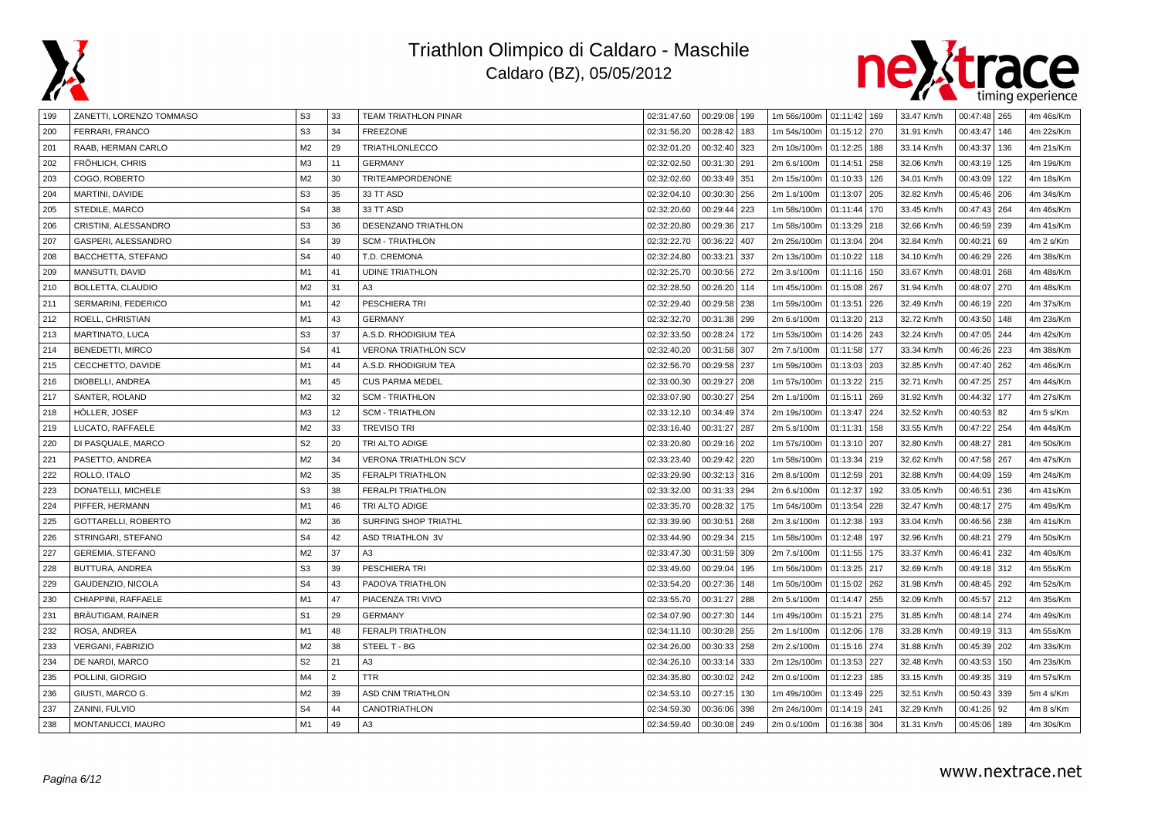



| 199 | ZANETTI, LORENZO TOMMASO | S <sub>3</sub> | 33             | <b>TEAM TRIATHLON PINAR</b> | 02:31:47.60 | 00:29:08   199  | 1m 56s/100m   01:11:42   169 |              |     | 33.47 Km/h | 00:47:48 265      | 4m 46s/Km |
|-----|--------------------------|----------------|----------------|-----------------------------|-------------|-----------------|------------------------------|--------------|-----|------------|-------------------|-----------|
| 200 | FERRARI, FRANCO          | S <sub>3</sub> | 34             | <b>FREEZONE</b>             | 02:31:56.20 | 00:28:42<br>183 | 1m 54s/100m                  | 01:15:12 270 |     | 31.91 Km/h | 00:43:47<br>146   | 4m 22s/Km |
| 201 | RAAB, HERMAN CARLO       | M <sub>2</sub> | 29             | TRIATHLONLECCO              | 02:32:01.20 | 00:32:40<br>323 | 2m 10s/100m                  | 01:12:25     | 188 | 33.14 Km/h | 00:43:37<br>136   | 4m 21s/Km |
| 202 | FRÖHLICH, CHRIS          | M <sub>3</sub> | 11             | <b>GERMANY</b>              | 02:32:02.50 | 00:31:30<br>291 | 2m 6.s/100m                  | 01:14:51     | 258 | 32.06 Km/h | 00:43:19 125      | 4m 19s/Km |
| 203 | COGO, ROBERTO            | M <sub>2</sub> | 30             | <b>TRITEAMPORDENONE</b>     | 02:32:02.60 | 00:33:49<br>351 | 2m 15s/100m                  | 01:10:33     | 126 | 34.01 Km/h | 00:43:09 122      | 4m 18s/Km |
| 204 | MARTINI, DAVIDE          | S <sub>3</sub> | 35             | 33 TT ASD                   | 02:32:04.10 | 00:30:30<br>256 | 2m 1.s/100m                  | 01:13:07     | 205 | 32.82 Km/h | 00:45:46   206    | 4m 34s/Km |
| 205 | STEDILE, MARCO           | S <sub>4</sub> | 38             | 33 TT ASD                   | 02:32:20.60 | 00:29:44<br>223 | 1m 58s/100m                  | 01:11:44     | 170 | 33.45 Km/h | 00:47:43 264      | 4m 46s/Km |
| 206 | CRISTINI, ALESSANDRO     | S <sub>3</sub> | 36             | DESENZANO TRIATHLON         | 02:32:20.80 | 00:29:36<br>217 | 1m 58s/100m                  | 01:13:29 218 |     | 32.66 Km/h | 00:46:59 239      | 4m 41s/Km |
| 207 | GASPERI, ALESSANDRO      | S <sub>4</sub> | 39             | <b>SCM - TRIATHLON</b>      | 02:32:22.70 | 00:36:22<br>407 | 2m 25s/100m                  | 01:13:04     | 204 | 32.84 Km/h | 00:40:21<br>69    | 4m 2 s/Km |
| 208 | BACCHETTA, STEFANO       | S <sub>4</sub> | 40             | T.D. CREMONA                | 02:32:24.80 | 00:33:21<br>337 | 2m 13s/100m                  | 01:10:22     | 118 | 34.10 Km/h | 00:46:29 226      | 4m 38s/Km |
| 209 | MANSUTTI, DAVID          | M1             | 41             | <b>UDINE TRIATHLON</b>      | 02:32:25.70 | 00:30:56<br>272 | 2m 3.s/100m                  | 01:11:16     | 150 | 33.67 Km/h | 00:48:01<br>268   | 4m 48s/Km |
| 210 | <b>BOLLETTA, CLAUDIO</b> | M2             | 31             | A3                          | 02:32:28.50 | 00:26:20<br>114 | 1m 45s/100m                  | 01:15:08     | 267 | 31.94 Km/h | 00:48:07<br>  270 | 4m 48s/Km |
| 211 | SERMARINI, FEDERICO      | M <sub>1</sub> | 42             | PESCHIERA TRI               | 02:32:29.40 | 00:29:58<br>238 | 1m 59s/100m                  | 01:13:51     | 226 | 32.49 Km/h | 00:46:19 220      | 4m 37s/Km |
| 212 | ROELL, CHRISTIAN         | M1             | 43             | <b>GERMANY</b>              | 02:32:32.70 | 00:31:38<br>299 | 2m 6.s/100m                  | 01:13:20     | 213 | 32.72 Km/h | 00:43:50   148    | 4m 23s/Km |
| 213 | MARTINATO, LUCA          | S <sub>3</sub> | 37             | A.S.D. RHODIGIUM TEA        | 02:32:33.50 | 00:28:24<br>172 | 1m 53s/100m                  | 01:14:26     | 243 | 32.24 Km/h | 00:47:05 244      | 4m 42s/Km |
| 214 | BENEDETTI, MIRCO         | S <sub>4</sub> | 41             | <b>VERONA TRIATHLON SCV</b> | 02:32:40.20 | 00:31:58<br>307 | 2m 7.s/100m                  | 01:11:58     | 177 | 33.34 Km/h | 00:46:26   223    | 4m 38s/Km |
| 215 | CECCHETTO, DAVIDE        | M <sub>1</sub> | 44             | A.S.D. RHODIGIUM TEA        | 02:32:56.70 | 00:29:58<br>237 | 1m 59s/100m                  | 01:13:03 203 |     | 32.85 Km/h | 00:47:40   262    | 4m 46s/Km |
| 216 | DIOBELLI, ANDREA         | M1             | 45             | <b>CUS PARMA MEDEL</b>      | 02:33:00.30 | 00:29:27<br>208 | 1m 57s/100m                  | 01:13:22     | 215 | 32.71 Km/h | 00:47:25 257      | 4m 44s/Km |
| 217 | SANTER, ROLAND           | M <sub>2</sub> | 32             | <b>SCM - TRIATHLON</b>      | 02:33:07.90 | 00:30:27<br>254 | 2m 1.s/100m                  | 01:15:11     | 269 | 31.92 Km/h | 00:44:32<br>177   | 4m 27s/Km |
| 218 | HÖLLER, JOSEF            | M <sub>3</sub> | 12             | <b>SCM - TRIATHLON</b>      | 02:33:12.10 | 00:34:49<br>374 | 2m 19s/100m                  | 01:13:47     | 224 | 32.52 Km/h | 00:40:53 82       | 4m 5 s/Km |
| 219 | LUCATO, RAFFAELE         | M2             | 33             | <b>TREVISO TRI</b>          | 02:33:16.40 | 00:31:27<br>287 | 2m 5.s/100m                  | 01:11:31     | 158 | 33.55 Km/h | 00:47:22 254      | 4m 44s/Km |
| 220 | DI PASQUALE, MARCO       | S <sub>2</sub> | 20             | TRI ALTO ADIGE              | 02:33:20.80 | 00:29:16<br>202 | 1m 57s/100m                  | 01:13:10     | 207 | 32.80 Km/h | 00:48:27<br> 281  | 4m 50s/Km |
| 221 | PASETTO, ANDREA          | M2             | 34             | <b>VERONA TRIATHLON SCV</b> | 02:33:23.40 | 00:29:42<br>220 | 1m 58s/100m                  | 01:13:34     | 219 | 32.62 Km/h | 00:47:58<br>267   | 4m 47s/Km |
| 222 | ROLLO, ITALO             | M <sub>2</sub> | 35             | <b>FERALPI TRIATHLON</b>    | 02:33:29.90 | 00:32:13<br>316 | 2m 8.s/100m                  | 01:12:59     | 201 | 32.88 Km/h | 00:44:09<br>159   | 4m 24s/Km |
| 223 | DONATELLI, MICHELE       | S <sub>3</sub> | 38             | <b>FERALPI TRIATHLON</b>    | 02:33:32.00 | 00:31:33<br>294 | 2m 6.s/100m                  | 01:12:37     | 192 | 33.05 Km/h | 00:46:51<br>l 236 | 4m 41s/Km |
| 224 | PIFFER, HERMANN          | M <sub>1</sub> | 46             | TRI ALTO ADIGE              | 02:33:35.70 | 00:28:32<br>175 | 1m 54s/100m                  | 01:13:54     | 228 | 32.47 Km/h | 00:48:17<br>275   | 4m 49s/Km |
| 225 | GOTTARELLI, ROBERTO      | M <sub>2</sub> | 36             | SURFING SHOP TRIATHL        | 02:33:39.90 | 00:30:51<br>268 | 2m 3.s/100m                  | 01:12:38     | 193 | 33.04 Km/h | 00:46:56<br>238   | 4m 41s/Km |
| 226 | STRINGARI, STEFANO       | S <sub>4</sub> | 42             | <b>ASD TRIATHLON 3V</b>     | 02:33:44.90 | 00:29:34<br>215 | 1m 58s/100m                  | 01:12:48     | 197 | 32.96 Km/h | 00:48:21<br>279   | 4m 50s/Km |
| 227 | <b>GEREMIA, STEFANO</b>  | M2             | 37             | A <sub>3</sub>              | 02:33:47.30 | 00:31:59<br>309 | 2m 7.s/100m                  | 01:11:55     | 175 | 33.37 Km/h | 00:46:41<br>  232 | 4m 40s/Km |
| 228 | BUTTURA, ANDREA          | S <sub>3</sub> | 39             | <b>PESCHIERA TRI</b>        | 02:33:49.60 | 00:29:04<br>195 | 1m 56s/100m                  | 01:13:25 217 |     | 32.69 Km/h | 00:49:18 312      | 4m 55s/Km |
| 229 | GAUDENZIO, NICOLA        | S <sub>4</sub> | 43             | PADOVA TRIATHLON            | 02:33:54.20 | 00:27:36<br>148 | 1m 50s/100m                  | 01:15:02     | 262 | 31.98 Km/h | 00:48:45   292    | 4m 52s/Km |
| 230 | CHIAPPINI, RAFFAELE      | M <sub>1</sub> | 47             | PIACENZA TRI VIVO           | 02:33:55.70 | 00:31:27<br>288 | 2m 5.s/100m                  | 01:14:47     | 255 | 32.09 Km/h | 00:45:57<br>212   | 4m 35s/Km |
| 231 | BRÄUTIGAM, RAINER        | S <sub>1</sub> | 29             | <b>GERMANY</b>              | 02:34:07.90 | 00:27:30<br>144 | 1m 49s/100m                  | 01:15:21     | 275 | 31.85 Km/h | 00:48:14 274      | 4m 49s/Km |
| 232 | ROSA, ANDREA             | M1             | 48             | <b>FERALPI TRIATHLON</b>    | 02:34:11.10 | 00:30:28<br>255 | 2m 1.s/100m                  | 01:12:06     | 178 | 33.28 Km/h | 00:49:19 313      | 4m 55s/Km |
| 233 | <b>VERGANI, FABRIZIO</b> | M <sub>2</sub> | 38             | STEEL T - BG                | 02:34:26.00 | 00:30:33<br>258 | 2m 2.s/100m                  | 01:15:16     | 274 | 31.88 Km/h | 00:45:39 202      | 4m 33s/Km |
| 234 | DE NARDI, MARCO          | S <sub>2</sub> | 21             | A <sub>3</sub>              | 02:34:26.10 | 00:33:14<br>333 | 2m 12s/100m                  | 01:13:53     | 227 | 32.48 Km/h | 00:43:53<br>150   | 4m 23s/Km |
| 235 | POLLINI, GIORGIO         | M4             | $\overline{2}$ | <b>TTR</b>                  | 02:34:35.80 | 00:30:02<br>242 | 2m 0.s/100m                  | 01:12:23     | 185 | 33.15 Km/h | 00:49:35 319      | 4m 57s/Km |
| 236 | GIUSTI, MARCO G.         | M <sub>2</sub> | 39             | <b>ASD CNM TRIATHLON</b>    | 02:34:53.10 | 00:27:15<br>130 | 1m 49s/100m                  | 01:13:49     | 225 | 32.51 Km/h | 00:50:43 339      | 5m 4 s/Km |
| 237 | ZANINI, FULVIO           | S <sub>4</sub> | 44             | CANOTRIATHLON               | 02:34:59.30 | 00:36:06<br>398 | 2m 24s/100m                  | 01:14:19     | 241 | 32.29 Km/h | 00:41:26 92       | 4m 8 s/Km |
| 238 | MONTANUCCI, MAURO        | M1             | 49             | A3                          | 02:34:59.40 | 00:30:08<br>249 | 2m 0.s/100m                  | 01:16:38 304 |     | 31.31 Km/h | 00:45:06   189    | 4m 30s/Km |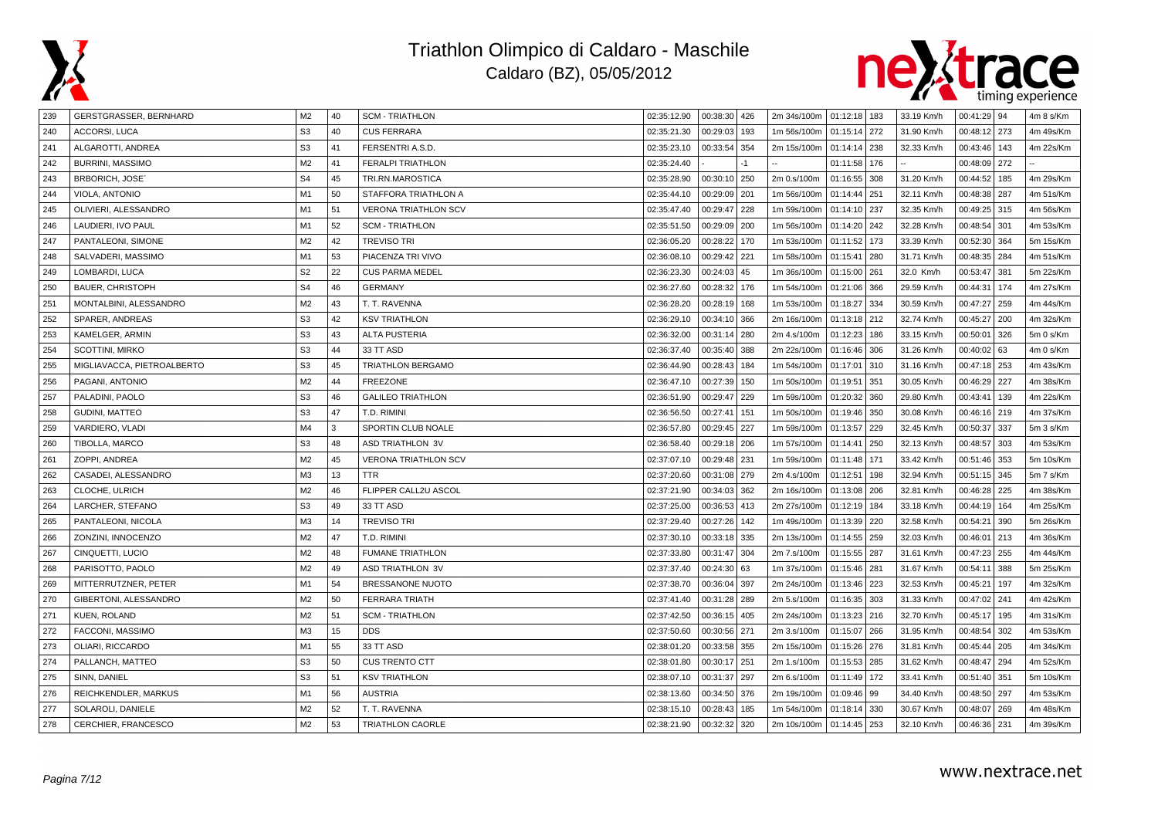



| 239 | GERSTGRASSER, BERNHARD     | M <sub>2</sub> | 40 | <b>SCM - TRIATHLON</b>      | 02:35:12.90 | 00:38:30 426    | 2m 34s/100m | 01:12:18 183 |     | 33.19 Km/h | $00:41:29$ 94 |     | 4m 8 s/Km |
|-----|----------------------------|----------------|----|-----------------------------|-------------|-----------------|-------------|--------------|-----|------------|---------------|-----|-----------|
| 240 | ACCORSI, LUCA              | S <sub>3</sub> | 40 | <b>CUS FERRARA</b>          | 02:35:21.30 | 00:29:03<br>193 | 1m 56s/100m | 01:15:14 272 |     | 31.90 Km/h | 00:48:12      | 273 | 4m 49s/Km |
| 241 | ALGAROTTI, ANDREA          | S <sub>3</sub> | 41 | FERSENTRI A.S.D.            | 02:35:23.10 | 00:33:54<br>354 | 2m 15s/100m | 01:14:14 238 |     | 32.33 Km/h | 00:43:46      | 143 | 4m 22s/Km |
| 242 | <b>BURRINI, MASSIMO</b>    | M2             | 41 | <b>FERALPI TRIATHLON</b>    | 02:35:24.40 | -1              |             | 01:11:58 176 |     |            | 00:48:09      | 272 |           |
| 243 | <b>BRBORICH, JOSE</b>      | S <sub>4</sub> | 45 | TRI.RN.MAROSTICA            | 02:35:28.90 | 00:30:10<br>250 | 2m 0.s/100m | 01:16:55 308 |     | 31.20 Km/h | 00:44:52      | 185 | 4m 29s/Km |
| 244 | VIOLA, ANTONIO             | M1             | 50 | STAFFORA TRIATHLON A        | 02:35:44.10 | 00:29:09<br>201 | 1m 56s/100m | 01:14:44 251 |     | 32.11 Km/h | 00:48:38      | 287 | 4m 51s/Km |
| 245 | OLIVIERI, ALESSANDRO       | M1             | 51 | <b>VERONA TRIATHLON SCV</b> | 02:35:47.40 | 00:29:47<br>228 | 1m 59s/100m | 01:14:10 237 |     | 32.35 Km/h | 00:49:25      | 315 | 4m 56s/Km |
| 246 | LAUDIERI, IVO PAUL         | M1             | 52 | <b>SCM - TRIATHLON</b>      | 02:35:51.50 | 00:29:09<br>200 | 1m 56s/100m | 01:14:20 242 |     | 32.28 Km/h | 00:48:54      | 301 | 4m 53s/Km |
| 247 | PANTALEONI, SIMONE         | M <sub>2</sub> | 42 | <b>TREVISO TRI</b>          | 02:36:05.20 | 00:28:22<br>170 | 1m 53s/100m | 01:11:52 173 |     | 33.39 Km/h | 00:52:30      | 364 | 5m 15s/Km |
| 248 | SALVADERI, MASSIMO         | M <sub>1</sub> | 53 | PIACENZA TRI VIVO           | 02:36:08.10 | 00:29:42<br>221 | 1m 58s/100m | 01:15:41 280 |     | 31.71 Km/h | 00:48:35      | 284 | 4m 51s/Km |
| 249 | LOMBARDI, LUCA             | S <sub>2</sub> | 22 | <b>CUS PARMA MEDEL</b>      | 02:36:23.30 | 00:24:03<br>45  | 1m 36s/100m | 01:15:00 261 |     | 32.0 Km/h  | 00:53:47      | 381 | 5m 22s/Km |
| 250 | <b>BAUER, CHRISTOPH</b>    | S <sub>4</sub> | 46 | <b>GERMANY</b>              | 02:36:27.60 | 00:28:32<br>176 | 1m 54s/100m | 01:21:06 366 |     | 29.59 Km/h | 00:44:31      | 174 | 4m 27s/Km |
| 251 | MONTALBINI, ALESSANDRO     | M <sub>2</sub> | 43 | T. T. RAVENNA               | 02:36:28.20 | 00:28:19<br>168 | 1m 53s/100m | 01:18:27 334 |     | 30.59 Km/h | 00:47:27      | 259 | 4m 44s/Km |
| 252 | SPARER, ANDREAS            | S <sub>3</sub> | 42 | <b>KSV TRIATHLON</b>        | 02:36:29.10 | 00:34:10<br>366 | 2m 16s/100m | 01:13:18 212 |     | 32.74 Km/h | 00:45:27      | 200 | 4m 32s/Km |
| 253 | KAMELGER, ARMIN            | S <sub>3</sub> | 43 | <b>ALTA PUSTERIA</b>        | 02:36:32.00 | 00:31:14<br>280 | 2m 4.s/100m | 01:12:23 186 |     | 33.15 Km/h | 00:50:01      | 326 | 5m 0 s/Km |
| 254 | <b>SCOTTINI, MIRKO</b>     | S <sub>3</sub> | 44 | 33 TT ASD                   | 02:36:37.40 | 00:35:40<br>388 | 2m 22s/100m | 01:16:46 306 |     | 31.26 Km/h | 00:40:02      | 63  | 4m 0 s/Km |
| 255 | MIGLIAVACCA, PIETROALBERTO | S <sub>3</sub> | 45 | <b>TRIATHLON BERGAMO</b>    | 02:36:44.90 | 00:28:43<br>184 | 1m 54s/100m | 01:17:01 310 |     | 31.16 Km/h | 00:47:18      | 253 | 4m 43s/Km |
| 256 | PAGANI, ANTONIO            | M2             | 44 | <b>FREEZONE</b>             | 02:36:47.10 | 00:27:39<br>150 | 1m 50s/100m | 01:19:51     | 351 | 30.05 Km/h | 00:46:29      | 227 | 4m 38s/Km |
| 257 | PALADINI, PAOLO            | S <sub>3</sub> | 46 | <b>GALILEO TRIATHLON</b>    | 02:36:51.90 | 00:29:47<br>229 | 1m 59s/100m | 01:20:32     | 360 | 29.80 Km/h | 00:43:41      | 139 | 4m 22s/Km |
| 258 | <b>GUDINI, MATTEO</b>      | S <sub>3</sub> | 47 | T.D. RIMINI                 | 02:36:56.50 | 00:27:41<br>151 | 1m 50s/100m | 01:19:46     | 350 | 30.08 Km/h | 00:46:16      | 219 | 4m 37s/Km |
| 259 | VARDIERO, VLADI            | M4             | 3  | SPORTIN CLUB NOALE          | 02:36:57.80 | 00:29:45<br>227 | 1m 59s/100m | 01:13:57 229 |     | 32.45 Km/h | 00:50:37      | 337 | 5m 3 s/Km |
| 260 | TIBOLLA, MARCO             | S <sub>3</sub> | 48 | <b>ASD TRIATHLON 3V</b>     | 02:36:58.40 | 00:29:18<br>206 | 1m 57s/100m | 01:14:41 250 |     | 32.13 Km/h | 00:48:57      | 303 | 4m 53s/Km |
| 261 | ZOPPI, ANDREA              | M <sub>2</sub> | 45 | <b>VERONA TRIATHLON SCV</b> | 02:37:07.10 | 00:29:48<br>231 | 1m 59s/100m | 01:11:48 171 |     | 33.42 Km/h | 00:51:46      | 353 | 5m 10s/Km |
| 262 | CASADEI, ALESSANDRO        | M <sub>3</sub> | 13 | <b>TTR</b>                  | 02:37:20.60 | 00:31:08<br>279 | 2m 4.s/100m | 01:12:51     | 198 | 32.94 Km/h | 00:51:15      | 345 | 5m 7 s/Km |
| 263 | CLOCHE, ULRICH             | M <sub>2</sub> | 46 | FLIPPER CALL2U ASCOL        | 02:37:21.90 | 00:34:03<br>362 | 2m 16s/100m | 01:13:08 206 |     | 32.81 Km/h | 00:46:28      | 225 | 4m 38s/Km |
| 264 | LARCHER, STEFANO           | S <sub>3</sub> | 49 | 33 TT ASD                   | 02:37:25.00 | 00:36:53<br>413 | 2m 27s/100m | 01:12:19 184 |     | 33.18 Km/h | 00:44:19      | 164 | 4m 25s/Km |
| 265 | PANTALEONI, NICOLA         | M <sub>3</sub> | 14 | <b>TREVISO TRI</b>          | 02:37:29.40 | 00:27:26<br>142 | 1m 49s/100m | 01:13:39 220 |     | 32.58 Km/h | 00:54:21      | 390 | 5m 26s/Km |
| 266 | ZONZINI, INNOCENZO         | M <sub>2</sub> | 47 | T.D. RIMINI                 | 02:37:30.10 | 00:33:18<br>335 | 2m 13s/100m | 01:14:55 259 |     | 32.03 Km/h | 00:46:01      | 213 | 4m 36s/Km |
| 267 | CINQUETTI, LUCIO           | M <sub>2</sub> | 48 | <b>FUMANE TRIATHLON</b>     | 02:37:33.80 | 00:31:47<br>304 | 2m 7.s/100m | 01:15:55 287 |     | 31.61 Km/h | 00:47:23      | 255 | 4m 44s/Km |
| 268 | PARISOTTO, PAOLO           | M <sub>2</sub> | 49 | <b>ASD TRIATHLON 3V</b>     | 02:37:37.40 | 00:24:30<br>63  | 1m 37s/100m | 01:15:46 281 |     | 31.67 Km/h | 00:54:11      | 388 | 5m 25s/Km |
| 269 | MITTERRUTZNER, PETER       | M1             | 54 | BRESSANONE NUOTO            | 02:37:38.70 | 00:36:04<br>397 | 2m 24s/100m | 01:13:46 223 |     | 32.53 Km/h | 00:45:21      | 197 | 4m 32s/Km |
| 270 | GIBERTONI, ALESSANDRO      | M <sub>2</sub> | 50 | <b>FERRARA TRIATH</b>       | 02:37:41.40 | 00:31:28<br>289 | 2m 5.s/100m | 01:16:35 303 |     | 31.33 Km/h | 00:47:02      | 241 | 4m 42s/Km |
| 271 | KUEN, ROLAND               | M <sub>2</sub> | 51 | <b>SCM - TRIATHLON</b>      | 02:37:42.50 | 00:36:15<br>405 | 2m 24s/100m | 01:13:23 216 |     | 32.70 Km/h | 00:45:17      | 195 | 4m 31s/Km |
| 272 | FACCONI, MASSIMO           | M3             | 15 | <b>DDS</b>                  | 02:37:50.60 | 00:30:56<br>271 | 2m 3.s/100m | 01:15:07 266 |     | 31.95 Km/h | 00:48:54      | 302 | 4m 53s/Km |
| 273 | OLIARI, RICCARDO           | M <sub>1</sub> | 55 | 33 TT ASD                   | 02:38:01.20 | 00:33:58<br>355 | 2m 15s/100m | 01:15:26 276 |     | 31.81 Km/h | 00:45:44      | 205 | 4m 34s/Km |
| 274 | PALLANCH, MATTEO           | S <sub>3</sub> | 50 | <b>CUS TRENTO CTT</b>       | 02:38:01.80 | 00:30:17<br>251 | 2m 1.s/100m | 01:15:53 285 |     | 31.62 Km/h | 00:48:47      | 294 | 4m 52s/Km |
| 275 | SINN, DANIEL               | S <sub>3</sub> | 51 | <b>KSV TRIATHLON</b>        | 02:38:07.10 | 00:31:37<br>297 | 2m 6.s/100m | 01:11:49 172 |     | 33.41 Km/h | 00:51:40      | 351 | 5m 10s/Km |
| 276 | REICHKENDLER, MARKUS       | M1             | 56 | <b>AUSTRIA</b>              | 02:38:13.60 | 00:34:50<br>376 | 2m 19s/100m | 01:09:46 99  |     | 34.40 Km/h | 00:48:50      | 297 | 4m 53s/Km |
| 277 | SOLAROLI, DANIELE          | M <sub>2</sub> | 52 | T. T. RAVENNA               | 02:38:15.10 | 00:28:43<br>185 | 1m 54s/100m | 01:18:14 330 |     | 30.67 Km/h | 00:48:07      | 269 | 4m 48s/Km |
| 278 | CERCHIER, FRANCESCO        | M <sub>2</sub> | 53 | <b>TRIATHLON CAORLE</b>     | 02:38:21.90 | 00:32:32<br>320 | 2m 10s/100m | 01:14:45 253 |     | 32.10 Km/h | 00:46:36 231  |     | 4m 39s/Km |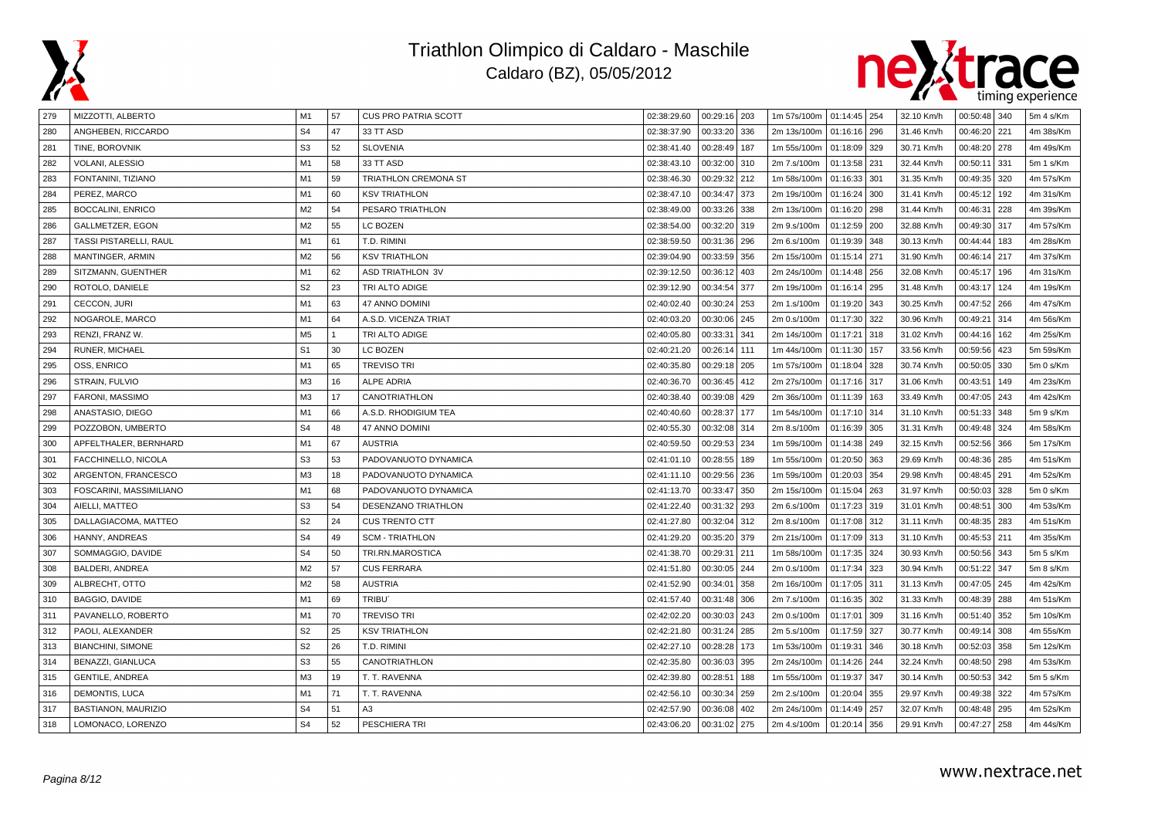



| 279 | MIZZOTTI, ALBERTO             | M1             | 57 | <b>CUS PRO PATRIA SCOTT</b> | 02:38:29.60 | 00:29:16   203  | 1m 57s/100m   01:14:45   254 |              |     | 32.10 Km/h | $00:50:48$ 340    |     | 5m 4 s/Km |
|-----|-------------------------------|----------------|----|-----------------------------|-------------|-----------------|------------------------------|--------------|-----|------------|-------------------|-----|-----------|
| 280 | ANGHEBEN, RICCARDO            | S <sub>4</sub> | 47 | 33 TT ASD                   | 02:38:37.90 | 00:33:20<br>336 | 2m 13s/100m                  | 01:16:16 296 |     | 31.46 Km/h | 00:46:20<br>  221 |     | 4m 38s/Km |
| 281 | TINE, BOROVNIK                | S <sub>3</sub> | 52 | <b>SLOVENIA</b>             | 02:38:41.40 | 00:28:49<br>187 | 1m 55s/100m                  | 01:18:09 329 |     | 30.71 Km/h | 00:48:20<br>278   |     | 4m 49s/Km |
| 282 | VOLANI, ALESSIO               | M1             | 58 | 33 TT ASD                   | 02:38:43.10 | 00:32:00<br>310 | 2m 7.s/100m                  | 01:13:58 231 |     | 32.44 Km/h | 00:50:11<br>331   |     | 5m 1 s/Km |
| 283 | FONTANINI, TIZIANO            | M1             | 59 | <b>TRIATHLON CREMONA ST</b> | 02:38:46.30 | 00:29:32<br>212 | 1m 58s/100m                  | 01:16:33 301 |     | 31.35 Km/h | 00:49:35<br>320   |     | 4m 57s/Km |
| 284 | PEREZ, MARCO                  | M1             | 60 | <b>KSV TRIATHLON</b>        | 02:38:47.10 | 00:34:47<br>373 | 2m 19s/100m                  | 01:16:24 300 |     | 31.41 Km/h | 00:45:12          | 192 | 4m 31s/Km |
| 285 | <b>BOCCALINI, ENRICO</b>      | M <sub>2</sub> | 54 | PESARO TRIATHLON            | 02:38:49.00 | 00:33:26<br>338 | 2m 13s/100m                  | 01:16:20 298 |     | 31.44 Km/h | 00:46:31          | 228 | 4m 39s/Km |
| 286 | GALLMETZER, EGON              | M <sub>2</sub> | 55 | LC BOZEN                    | 02:38:54.00 | 00:32:20<br>319 | 2m 9.s/100m                  | 01:12:59 200 |     | 32.88 Km/h | 00:49:30<br>317   |     | 4m 57s/Km |
| 287 | <b>TASSI PISTARELLI, RAUL</b> | M1             | 61 | T.D. RIMINI                 | 02:38:59.50 | 00:31:36<br>296 | 2m 6.s/100m                  | 01:19:39 348 |     | 30.13 Km/h | 00:44:44          | 183 | 4m 28s/Km |
| 288 | MANTINGER, ARMIN              | M <sub>2</sub> | 56 | <b>KSV TRIATHLON</b>        | 02:39:04.90 | 00:33:59<br>356 | 2m 15s/100m                  | 01:15:14 271 |     | 31.90 Km/h | 00:46:14<br>217   |     | 4m 37s/Km |
| 289 | SITZMANN, GUENTHER            | M1             | 62 | <b>ASD TRIATHLON 3V</b>     | 02:39:12.50 | 00:36:12<br>403 | 2m 24s/100m                  | 01:14:48 256 |     | 32.08 Km/h | 00:45:17          | 196 | 4m 31s/Km |
| 290 | ROTOLO, DANIELE               | S <sub>2</sub> | 23 | TRI ALTO ADIGE              | 02:39:12.90 | 00:34:54<br>377 | 2m 19s/100m                  | 01:16:14 295 |     | 31.48 Km/h | 00:43:17          | 124 | 4m 19s/Km |
| 291 | <b>CECCON, JURI</b>           | M1             | 63 | 47 ANNO DOMINI              | 02:40:02.40 | 00:30:24<br>253 | 2m 1.s/100m                  | 01:19:20 343 |     | 30.25 Km/h | 00:47:52<br>266   |     | 4m 47s/Km |
| 292 | NOGAROLE, MARCO               | M1             | 64 | A.S.D. VICENZA TRIAT        | 02:40:03.20 | 00:30:06<br>245 | 2m 0.s/100m                  | 01:17:30 322 |     | 30.96 Km/h | 00:49:21<br>314   |     | 4m 56s/Km |
| 293 | RENZI, FRANZ W.               | M <sub>5</sub> |    | TRI ALTO ADIGE              | 02:40:05.80 | 00:33:31<br>341 | 2m 14s/100m                  | 01:17:21 318 |     | 31.02 Km/h | 00:44:16          | 162 | 4m 25s/Km |
| 294 | RUNER, MICHAEL                | S <sub>1</sub> | 30 | LC BOZEN                    | 02:40:21.20 | 00:26:14<br>111 | 1m 44s/100m                  | 01:11:30 157 |     | 33.56 Km/h | 00:59:56          | 423 | 5m 59s/Km |
| 295 | OSS, ENRICO                   | M1             | 65 | <b>TREVISO TRI</b>          | 02:40:35.80 | 00:29:18<br>205 | 1m 57s/100m                  | 01:18:04 328 |     | 30.74 Km/h | 00:50:05<br>330   |     | 5m 0 s/Km |
| 296 | STRAIN, FULVIO                | M3             | 16 | <b>ALPE ADRIA</b>           | 02:40:36.70 | 00:36:45<br>412 | 2m 27s/100m                  | 01:17:16 317 |     | 31.06 Km/h | 00:43:51          | 149 | 4m 23s/Km |
| 297 | FARONI, MASSIMO               | M <sub>3</sub> | 17 | CANOTRIATHLON               | 02:40:38.40 | 00:39:08<br>429 | 2m 36s/100m                  | 01:11:39 163 |     | 33.49 Km/h | 00:47:05<br>243   |     | 4m 42s/Km |
| 298 | ANASTASIO, DIEGO              | M1             | 66 | A.S.D. RHODIGIUM TEA        | 02:40:40.60 | 00:28:37<br>177 | 1m 54s/100m                  | 01:17:10 314 |     | 31.10 Km/h | 00:51:33          | 348 | 5m 9 s/Km |
| 299 | POZZOBON, UMBERTO             | S <sub>4</sub> | 48 | 47 ANNO DOMINI              | 02:40:55.30 | 00:32:08<br>314 | 2m 8.s/100m                  | 01:16:39 305 |     | 31.31 Km/h | 00:49:48<br>324   |     | 4m 58s/Km |
| 300 | APFELTHALER, BERNHARD         | M1             | 67 | <b>AUSTRIA</b>              | 02:40:59.50 | 00:29:53<br>234 | 1m 59s/100m                  | 01:14:38 249 |     | 32.15 Km/h | 00:52:56          | 366 | 5m 17s/Km |
| 301 | FACCHINELLO, NICOLA           | S <sub>3</sub> | 53 | PADOVANUOTO DYNAMICA        | 02:41:01.10 | 00:28:55<br>189 | 1m 55s/100m                  | 01:20:50 363 |     | 29.69 Km/h | 00:48:36          | 285 | 4m 51s/Km |
| 302 | ARGENTON, FRANCESCO           | M <sub>3</sub> | 18 | PADOVANUOTO DYNAMICA        | 02:41:11.10 | 00:29:56<br>236 | 1m 59s/100m                  | 01:20:03 354 |     | 29.98 Km/h | 00:48:45<br>291   |     | 4m 52s/Km |
| 303 | FOSCARINI, MASSIMILIANO       | M1             | 68 | PADOVANUOTO DYNAMICA        | 02:41:13.70 | 00:33:47<br>350 | 2m 15s/100m                  | 01:15:04 263 |     | 31.97 Km/h | 00:50:03<br>328   |     | 5m 0 s/Km |
| 304 | AIELLI, MATTEO                | S <sub>3</sub> | 54 | DESENZANO TRIATHLON         | 02:41:22.40 | 00:31:32<br>293 | 2m 6.s/100m                  | 01:17:23 319 |     | 31.01 Km/h | 00:48:51<br>300   |     | 4m 53s/Km |
| 305 | DALLAGIACOMA, MATTEO          | S <sub>2</sub> | 24 | <b>CUS TRENTO CTT</b>       | 02:41:27.80 | 00:32:04<br>312 | 2m 8.s/100m                  | 01:17:08 312 |     | 31.11 Km/h | 00:48:35<br>283   |     | 4m 51s/Km |
| 306 | HANNY, ANDREAS                | S <sub>4</sub> | 49 | <b>SCM - TRIATHLON</b>      | 02:41:29.20 | 00:35:20<br>379 | 2m 21s/100m                  | 01:17:09 313 |     | 31.10 Km/h | 00:45:53<br>211   |     | 4m 35s/Km |
| 307 | SOMMAGGIO, DAVIDE             | S <sub>4</sub> | 50 | TRI.RN.MAROSTICA            | 02:41:38.70 | 00:29:31<br>211 | 1m 58s/100m                  | 01:17:35 324 |     | 30.93 Km/h | 00:50:56<br>343   |     | 5m 5 s/Km |
| 308 | <b>BALDERI, ANDREA</b>        | M <sub>2</sub> | 57 | <b>CUS FERRARA</b>          | 02:41:51.80 | 00:30:05<br>244 | 2m 0.s/100m                  | 01:17:34 323 |     | 30.94 Km/h | 00:51:22<br>347 ا |     | 5m 8 s/Km |
| 309 | ALBRECHT, OTTO                | M <sub>2</sub> | 58 | <b>AUSTRIA</b>              | 02:41:52.90 | 00:34:01<br>358 | 2m 16s/100m                  | 01:17:05 311 |     | 31.13 Km/h | 00:47:05 245      |     | 4m 42s/Km |
| 310 | <b>BAGGIO, DAVIDE</b>         | M <sub>1</sub> | 69 | TRIBU'                      | 02:41:57.40 | 00:31:48<br>306 | 2m 7.s/100m                  | 01:16:35 302 |     | 31.33 Km/h | 00:48:39<br>288   |     | 4m 51s/Km |
| 311 | PAVANELLO, ROBERTO            | M <sub>1</sub> | 70 | <b>TREVISO TRI</b>          | 02:42:02.20 | 00:30:03<br>243 | 2m 0.s/100m                  | 01:17:01 309 |     | 31.16 Km/h | 00:51:40<br>352   |     | 5m 10s/Km |
| 312 | PAOLI, ALEXANDER              | S <sub>2</sub> | 25 | <b>KSV TRIATHLON</b>        | 02:42:21.80 | 00:31:24<br>285 | 2m 5.s/100m                  | 01:17:59 327 |     | 30.77 Km/h | 00:49:14<br>308   |     | 4m 55s/Km |
| 313 | <b>BIANCHINI, SIMONE</b>      | S <sub>2</sub> | 26 | T.D. RIMINI                 | 02:42:27.10 | 00:28:28<br>173 | 1m 53s/100m                  | 01:19:31     | 346 | 30.18 Km/h | 00:52:03<br>358   |     | 5m 12s/Km |
| 314 | BENAZZI, GIANLUCA             | S <sub>3</sub> | 55 | CANOTRIATHLON               | 02:42:35.80 | 00:36:03<br>395 | 2m 24s/100m                  | 01:14:26     | 244 | 32.24 Km/h | 00:48:50          | 298 | 4m 53s/Km |
| 315 | <b>GENTILE, ANDREA</b>        | M <sub>3</sub> | 19 | T. T. RAVENNA               | 02:42:39.80 | 00:28:51<br>188 | 1m 55s/100m                  | 01:19:37 347 |     | 30.14 Km/h | 00:50:53<br>342   |     | 5m 5 s/Km |
| 316 | DEMONTIS, LUCA                | M1             | 71 | T. T. RAVENNA               | 02:42:56.10 | 00:30:34<br>259 | 2m 2.s/100m                  | 01:20:04 355 |     | 29.97 Km/h | 00:49:38<br>322   |     | 4m 57s/Km |
| 317 | BASTIANON, MAURIZIO           | S <sub>4</sub> | 51 | A <sub>3</sub>              | 02:42:57.90 | 00:36:08<br>402 | 2m 24s/100m                  | 01:14:49 257 |     | 32.07 Km/h | 00:48:48<br>  295 |     | 4m 52s/Km |
| 318 | LOMONACO, LORENZO             | S <sub>4</sub> | 52 | PESCHIERA TRI               | 02:43:06.20 | 00:31:02<br>275 | 2m 4.s/100m                  | 01:20:14 356 |     | 29.91 Km/h | 00:47:27          | 258 | 4m 44s/Km |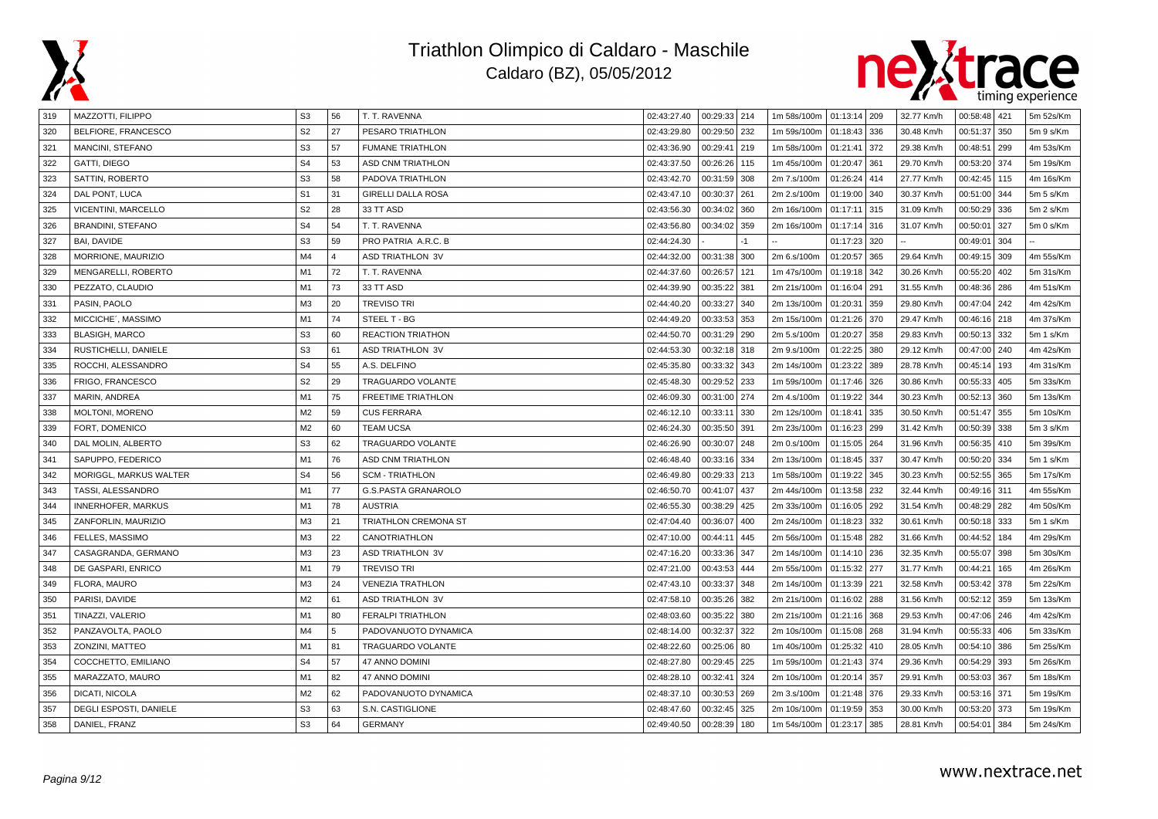



| 319 | MAZZOTTI, FILIPPO        | S <sub>3</sub> | 56             | T. T. RAVENNA               | 02:43:27.40 | 00:29:33 214    | 1m 58s/100m   01:13:14   209 |              |     | 32.77 Km/h | 00:58:48 421 |     | 5m 52s/Km |
|-----|--------------------------|----------------|----------------|-----------------------------|-------------|-----------------|------------------------------|--------------|-----|------------|--------------|-----|-----------|
| 320 | BELFIORE, FRANCESCO      | S <sub>2</sub> | 27             | PESARO TRIATHLON            | 02:43:29.80 | 00:29:50<br>232 | 1m 59s/100m                  | 01:18:43 336 |     | 30.48 Km/h | 00:51:37     | 350 | 5m 9 s/Km |
| 321 | MANCINI, STEFANO         | S <sub>3</sub> | 57             | <b>FUMANE TRIATHLON</b>     | 02:43:36.90 | 00:29:41<br>219 | 1m 58s/100m                  | 01:21:41     | 372 | 29.38 Km/h | 00:48:51     | 299 | 4m 53s/Km |
| 322 | GATTI, DIEGO             | S <sub>4</sub> | 53             | <b>ASD CNM TRIATHLON</b>    | 02:43:37.50 | 00:26:26<br>115 | 1m 45s/100m                  | 01:20:47     | 361 | 29.70 Km/h | 00:53:20     | 374 | 5m 19s/Km |
| 323 | SATTIN, ROBERTO          | S <sub>3</sub> | 58             | PADOVA TRIATHLON            | 02:43:42.70 | 00:31:59<br>308 | 2m 7.s/100m                  | 01:26:24     | 414 | 27.77 Km/h | 00:42:45     | 115 | 4m 16s/Km |
| 324 | DAL PONT, LUCA           | S <sub>1</sub> | 31             | <b>GIRELLI DALLA ROSA</b>   | 02:43:47.10 | 00:30:37<br>261 | 2m 2.s/100m                  | 01:19:00     | 340 | 30.37 Km/h | 00:51:00     | 344 | 5m 5 s/Km |
| 325 | VICENTINI, MARCELLO      | S <sub>2</sub> | 28             | 33 TT ASD                   | 02:43:56.30 | 00:34:02<br>360 | 2m 16s/100m                  | 01:17:11     | 315 | 31.09 Km/h | 00:50:29     | 336 | 5m 2 s/Km |
| 326 | <b>BRANDINI, STEFANO</b> | S <sub>4</sub> | 54             | T. T. RAVENNA               | 02:43:56.80 | 00:34:02<br>359 | 2m 16s/100m                  | 01:17:14     | 316 | 31.07 Km/h | 00:50:01     | 327 | 5m 0 s/Km |
| 327 | BAI, DAVIDE              | S <sub>3</sub> | 59             | PRO PATRIA A.R.C. B         | 02:44:24.30 | $-1$            |                              | 01:17:23     | 320 |            | 00:49:01     | 304 |           |
| 328 | MORRIONE, MAURIZIO       | M4             | $\overline{a}$ | <b>ASD TRIATHLON 3V</b>     | 02:44:32.00 | 00:31:38<br>300 | 2m 6.s/100m                  | 01:20:57     | 365 | 29.64 Km/h | 00:49:15     | 309 | 4m 55s/Km |
| 329 | MENGARELLI, ROBERTO      | M <sub>1</sub> | 72             | T. T. RAVENNA               | 02:44:37.60 | 00:26:57<br>121 | 1m 47s/100m                  | 01:19:18     | 342 | 30.26 Km/h | 00:55:20     | 402 | 5m 31s/Km |
| 330 | PEZZATO, CLAUDIO         | M1             | 73             | 33 TT ASD                   | 02:44:39.90 | 00:35:22<br>381 | 2m 21s/100m                  | 01:16:04     | 291 | 31.55 Km/h | 00:48:36     | 286 | 4m 51s/Km |
| 331 | PASIN, PAOLO             | M3             | 20             | <b>TREVISO TRI</b>          | 02:44:40.20 | 00:33:27<br>340 | 2m 13s/100m                  | 01:20:31     | 359 | 29.80 Km/h | 00:47:04     | 242 | 4m 42s/Km |
| 332 | MICCICHE', MASSIMO       | M1             | 74             | STEEL T - BG                | 02:44:49.20 | 00:33:53<br>353 | 2m 15s/100m                  | 01:21:26 370 |     | 29.47 Km/h | 00:46:16 218 |     | 4m 37s/Km |
| 333 | <b>BLASIGH, MARCO</b>    | S <sub>3</sub> | 60             | <b>REACTION TRIATHON</b>    | 02:44:50.70 | 00:31:29<br>290 | 2m 5.s/100m                  | 01:20:27     | 358 | 29.83 Km/h | 00:50:13     | 332 | 5m 1 s/Km |
| 334 | RUSTICHELLI, DANIELE     | S <sub>3</sub> | 61             | <b>ASD TRIATHLON 3V</b>     | 02:44:53.30 | 00:32:18<br>318 | 2m 9.s/100m                  | 01:22:25     | 380 | 29.12 Km/h | 00:47:00     | 240 | 4m 42s/Km |
| 335 | ROCCHI, ALESSANDRO       | S <sub>4</sub> | 55             | A.S. DELFINO                | 02:45:35.80 | 00:33:32<br>343 | 2m 14s/100m                  | 01:23:22     | 389 | 28.78 Km/h | 00:45:14     | 193 | 4m 31s/Km |
| 336 | FRIGO, FRANCESCO         | S <sub>2</sub> | 29             | <b>TRAGUARDO VOLANTE</b>    | 02:45:48.30 | 00:29:52<br>233 | 1m 59s/100m                  | 01:17:46     | 326 | 30.86 Km/h | 00:55:33     | 405 | 5m 33s/Km |
| 337 | MARIN, ANDREA            | M1             | 75             | <b>FREETIME TRIATHLON</b>   | 02:46:09.30 | 00:31:00<br>274 | 2m 4.s/100m                  | 01:19:22     | 344 | 30.23 Km/h | 00:52:13     | 360 | 5m 13s/Km |
| 338 | <b>MOLTONI, MORENO</b>   | M <sub>2</sub> | 59             | <b>CUS FERRARA</b>          | 02:46:12.10 | 00:33:11<br>330 | 2m 12s/100m                  | 01:18:41     | 335 | 30.50 Km/h | 00:51:47     | 355 | 5m 10s/Km |
| 339 | FORT, DOMENICO           | M <sub>2</sub> | 60             | <b>TEAM UCSA</b>            | 02:46:24.30 | 00:35:50<br>391 | 2m 23s/100m                  | 01:16:23     | 299 | 31.42 Km/h | 00:50:39     | 338 | 5m 3 s/Km |
| 340 | DAL MOLIN, ALBERTO       | S <sub>3</sub> | 62             | <b>TRAGUARDO VOLANTE</b>    | 02:46:26.90 | 00:30:07<br>248 | 2m 0.s/100m                  | 01:15:05 264 |     | 31.96 Km/h | 00:56:35     | 410 | 5m 39s/Km |
| 341 | SAPUPPO, FEDERICO        | M <sub>1</sub> | 76             | <b>ASD CNM TRIATHLON</b>    | 02:46:48.40 | 00:33:16<br>334 | 2m 13s/100m                  | 01:18:45     | 337 | 30.47 Km/h | 00:50:20     | 334 | 5m 1 s/Km |
| 342 | MORIGGL, MARKUS WALTER   | S <sub>4</sub> | 56             | <b>SCM - TRIATHLON</b>      | 02:46:49.80 | 00:29:33<br>213 | 1m 58s/100m                  | 01:19:22     | 345 | 30.23 Km/h | 00:52:55     | 365 | 5m 17s/Km |
| 343 | TASSI, ALESSANDRO        | M1             | 77             | <b>G.S.PASTA GRANAROLO</b>  | 02:46:50.70 | 00:41:07<br>437 | 2m 44s/100m                  | 01:13:58 232 |     | 32.44 Km/h | 00:49:16     | 311 | 4m 55s/Km |
| 344 | INNERHOFER, MARKUS       | M1             | 78             | <b>AUSTRIA</b>              | 02:46:55.30 | 00:38:29<br>425 | 2m 33s/100m                  | 01:16:05 292 |     | 31.54 Km/h | 00:48:29     | 282 | 4m 50s/Km |
| 345 | ZANFORLIN, MAURIZIO      | M <sub>3</sub> | 21             | <b>TRIATHLON CREMONA ST</b> | 02:47:04.40 | 00:36:07<br>400 | 2m 24s/100m                  | 01:18:23     | 332 | 30.61 Km/h | 00:50:18     | 333 | 5m 1 s/Km |
| 346 | FELLES, MASSIMO          | M <sub>3</sub> | 22             | <b>CANOTRIATHLON</b>        | 02:47:10.00 | 00:44:11<br>445 | 2m 56s/100m                  | 01:15:48     | 282 | 31.66 Km/h | 00:44:52     | 184 | 4m 29s/Km |
| 347 | CASAGRANDA, GERMANO      | M <sub>3</sub> | 23             | <b>ASD TRIATHLON 3V</b>     | 02:47:16.20 | 00:33:36<br>347 | 2m 14s/100m                  | 01:14:10     | 236 | 32.35 Km/h | 00:55:07     | 398 | 5m 30s/Km |
| 348 | DE GASPARI, ENRICO       | M1             | 79             | <b>TREVISO TRI</b>          | 02:47:21.00 | 00:43:53<br>444 | 2m 55s/100m                  | 01:15:32     | 277 | 31.77 Km/h | 00:44:21     | 165 | 4m 26s/Km |
| 349 | FLORA, MAURO             | M3             | 24             | <b>VENEZIA TRATHLON</b>     | 02:47:43.10 | 00:33:37<br>348 | 2m 14s/100m                  | 01:13:39 221 |     | 32.58 Km/h | 00:53:42     | 378 | 5m 22s/Km |
| 350 | PARISI, DAVIDE           | M <sub>2</sub> | 61             | <b>ASD TRIATHLON 3V</b>     | 02:47:58.10 | 00:35:26<br>382 | 2m 21s/100m                  | 01:16:02     | 288 | 31.56 Km/h | 00:52:12     | 359 | 5m 13s/Km |
| 351 | TINAZZI, VALERIO         | M1             | 80             | <b>FERALPI TRIATHLON</b>    | 02:48:03.60 | 00:35:22<br>380 | 2m 21s/100m                  | 01:21:16 368 |     | 29.53 Km/h | 00:47:06 246 |     | 4m 42s/Km |
| 352 | PANZAVOLTA, PAOLO        | M4             | 5              | PADOVANUOTO DYNAMICA        | 02:48:14.00 | 00:32:37<br>322 | 2m 10s/100m                  | 01:15:08 268 |     | 31.94 Km/h | 00:55:33     | 406 | 5m 33s/Km |
| 353 | ZONZINI, MATTEO          | M1             | 81             | TRAGUARDO VOLANTE           | 02:48:22.60 | 00:25:06<br>80  | 1m 40s/100m                  | 01:25:32     | 410 | 28.05 Km/h | 00:54:10     | 386 | 5m 25s/Km |
| 354 | COCCHETTO, EMILIANO      | S <sub>4</sub> | 57             | 47 ANNO DOMINI              | 02:48:27.80 | 00:29:45<br>225 | 1m 59s/100m                  | 01:21:43     | 374 | 29.36 Km/h | 00:54:29     | 393 | 5m 26s/Km |
| 355 | MARAZZATO, MAURO         | M1             | 82             | 47 ANNO DOMINI              | 02:48:28.10 | 00:32:41<br>324 | 2m 10s/100m                  | 01:20:14     | 357 | 29.91 Km/h | 00:53:03     | 367 | 5m 18s/Km |
| 356 | DICATI, NICOLA           | M <sub>2</sub> | 62             | PADOVANUOTO DYNAMICA        | 02:48:37.10 | 00:30:53<br>269 | 2m 3.s/100m                  | 01:21:48 376 |     | 29.33 Km/h | 00:53:16 371 |     | 5m 19s/Km |
| 357 | DEGLI ESPOSTI, DANIELE   | S <sub>3</sub> | 63             | S.N. CASTIGLIONE            | 02:48:47.60 | 00:32:45<br>325 | 2m 10s/100m                  | 01:19:59     | 353 | 30.00 Km/h | 00:53:20     | 373 | 5m 19s/Km |
| 358 | DANIEL, FRANZ            | S <sub>3</sub> | 64             | <b>GERMANY</b>              | 02:49:40.50 | 00:28:39<br>180 | 1m 54s/100m                  | 01:23:17     | 385 | 28.81 Km/h | 00:54:01     | 384 | 5m 24s/Km |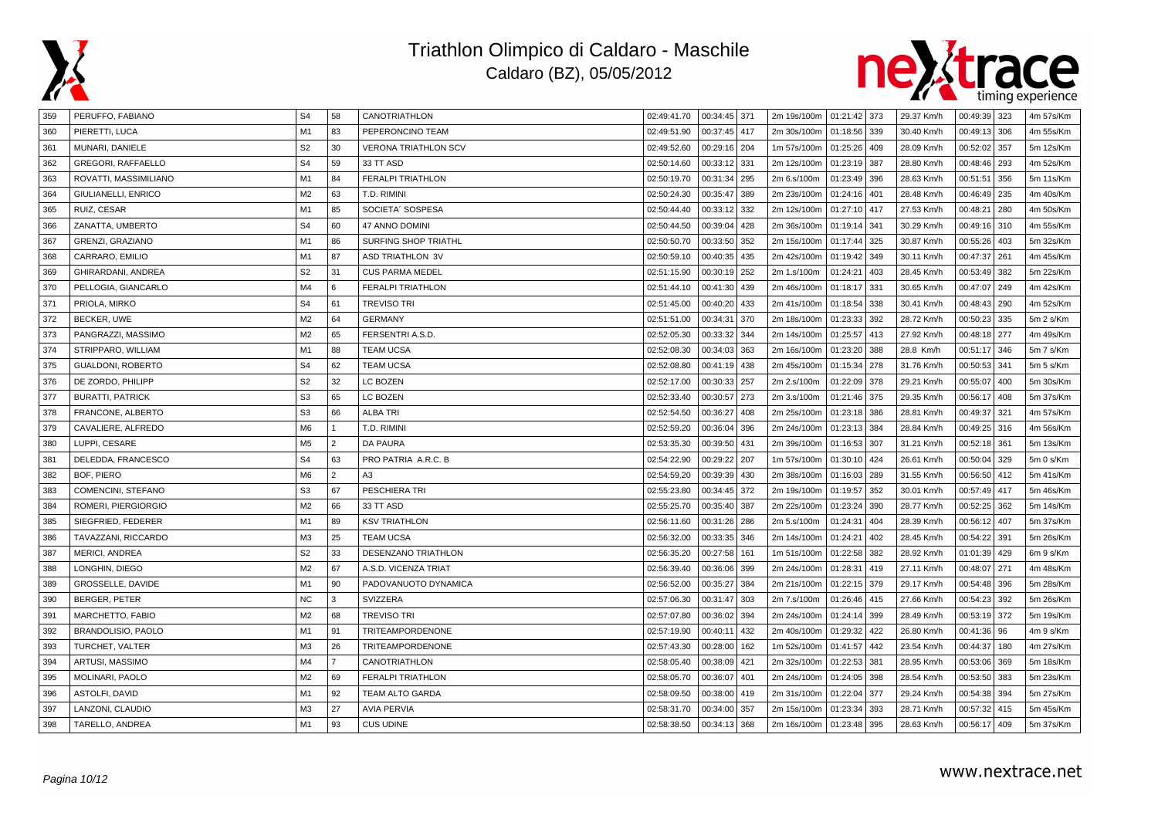



| 359 | PERUFFO, FABIANO          | S <sub>4</sub> | 58             | CANOTRIATHLON               | 02:49:41.70 | 00:34:45 371 |     | 2m 19s/100m   01:21:42   373 |              |     | 29.37 Km/h | 00:49:39 323      | 4m 57s/Km |
|-----|---------------------------|----------------|----------------|-----------------------------|-------------|--------------|-----|------------------------------|--------------|-----|------------|-------------------|-----------|
| 360 | PIERETTI, LUCA            | M1             | 83             | PEPERONCINO TEAM            | 02:49:51.90 | 00:37:45     | 417 | 2m 30s/100m                  | 01:18:56 339 |     | 30.40 Km/h | 00:49:13 306      | 4m 55s/Km |
| 361 | MUNARI, DANIELE           | S <sub>2</sub> | 30             | <b>VERONA TRIATHLON SCV</b> | 02:49:52.60 | 00:29:16     | 204 | 1m 57s/100m                  | 01:25:26     | 409 | 28.09 Km/h | 00:52:02<br>357   | 5m 12s/Km |
| 362 | GREGORI, RAFFAELLO        | S <sub>4</sub> | 59             | 33 TT ASD                   | 02:50:14.60 | 00:33:12     | 331 | 2m 12s/100m                  | 01:23:19     | 387 | 28.80 Km/h | 00:48:46 293      | 4m 52s/Km |
| 363 | ROVATTI, MASSIMILIANO     | M1             | 84             | <b>FERALPI TRIATHLON</b>    | 02:50:19.70 | 00:31:34     | 295 | 2m 6.s/100m                  | 01:23:49     | 396 | 28.63 Km/h | 00:51:51<br>356   | 5m 11s/Km |
| 364 | GIULIANELLI, ENRICO       | M <sub>2</sub> | 63             | T.D. RIMINI                 | 02:50:24.30 | 00:35:47     | 389 | 2m 23s/100m                  | 01:24:16     | 401 | 28.48 Km/h | 00:46:49 235      | 4m 40s/Km |
| 365 | RUIZ, CESAR               | M <sub>1</sub> | 85             | SOCIETA' SOSPESA            | 02:50:44.40 | 00:33:12     | 332 | 2m 12s/100m                  | 01:27:10     | 417 | 27.53 Km/h | 00:48:21<br>280   | 4m 50s/Km |
| 366 | ZANATTA, UMBERTO          | S <sub>4</sub> | 60             | 47 ANNO DOMINI              | 02:50:44.50 | 00:39:04     | 428 | 2m 36s/100m                  | 01:19:14     | 341 | 30.29 Km/h | 00:49:16 310      | 4m 55s/Km |
| 367 | <b>GRENZI, GRAZIANO</b>   | M <sub>1</sub> | 86             | SURFING SHOP TRIATHL        | 02:50:50.70 | 00:33:50     | 352 | 2m 15s/100m                  | 01:17:44     | 325 | 30.87 Km/h | 00:55:26 403      | 5m 32s/Km |
| 368 | CARRARO, EMILIO           | M1             | 87             | <b>ASD TRIATHLON 3V</b>     | 02:50:59.10 | 00:40:35     | 435 | 2m 42s/100m                  | 01:19:42     | 349 | 30.11 Km/h | 00:47:37<br>l 261 | 4m 45s/Km |
| 369 | GHIRARDANI, ANDREA        | S <sub>2</sub> | 31             | <b>CUS PARMA MEDEL</b>      | 02:51:15.90 | 00:30:19     | 252 | 2m 1.s/100m                  | 01:24:21     | 403 | 28.45 Km/h | 00:53:49 382      | 5m 22s/Km |
| 370 | PELLOGIA, GIANCARLO       | M4             | 6              | <b>FERALPI TRIATHLON</b>    | 02:51:44.10 | 00:41:30     | 439 | 2m 46s/100m                  | 01:18:17     | 331 | 30.65 Km/h | 00:47:07 249      | 4m 42s/Km |
| 371 | PRIOLA, MIRKO             | S <sub>4</sub> | 61             | TREVISO TRI                 | 02:51:45.00 | 00:40:20     | 433 | 2m 41s/100m                  | 01:18:54     | 338 | 30.41 Km/h | 00:48:43   290    | 4m 52s/Km |
| 372 | BECKER, UWE               | M <sub>2</sub> | 64             | <b>GERMANY</b>              | 02:51:51.00 | 00:34:31     | 370 | 2m 18s/100m                  | 01:23:33     | 392 | 28.72 Km/h | 00:50:23 335      | 5m 2 s/Km |
| 373 | PANGRAZZI, MASSIMO        | M <sub>2</sub> | 65             | FERSENTRI A.S.D.            | 02:52:05.30 | 00:33:32     | 344 | 2m 14s/100m                  | 01:25:57     | 413 | 27.92 Km/h | 00:48:18 277      | 4m 49s/Km |
| 374 | STRIPPARO, WILLIAM        | M1             | 88             | TEAM UCSA                   | 02:52:08.30 | 00:34:03     | 363 | 2m 16s/100m                  | 01:23:20     | 388 | 28.8 Km/h  | 00:51:17 346      | 5m 7 s/Km |
| 375 | GUALDONI, ROBERTO         | S <sub>4</sub> | 62             | <b>TEAM UCSA</b>            | 02:52:08.80 | 00:41:19     | 438 | 2m 45s/100m                  | 01:15:34     | 278 | 31.76 Km/h | 00:50:53 341      | 5m 5 s/Km |
| 376 | DE ZORDO, PHILIPP         | S <sub>2</sub> | 32             | LC BOZEN                    | 02:52:17.00 | 00:30:33     | 257 | 2m 2.s/100m                  | 01:22:09     | 378 | 29.21 Km/h | 00:55:07<br> 400  | 5m 30s/Km |
| 377 | <b>BURATTI, PATRICK</b>   | S <sub>3</sub> | 65             | LC BOZEN                    | 02:52:33.40 | 00:30:57     | 273 | 2m 3.s/100m                  | 01:21:46     | 375 | 29.35 Km/h | 00:56:17<br> 408  | 5m 37s/Km |
| 378 | FRANCONE, ALBERTO         | S <sub>3</sub> | 66             | <b>ALBA TRI</b>             | 02:52:54.50 | 00:36:27     | 408 | 2m 25s/100m                  | 01:23:18     | 386 | 28.81 Km/h | 00:49:37<br>321   | 4m 57s/Km |
| 379 | CAVALIERE, ALFREDO        | M <sub>6</sub> | $\mathbf{1}$   | t.d. Rimini                 | 02:52:59.20 | 00:36:04     | 396 | 2m 24s/100m                  | 01:23:13     | 384 | 28.84 Km/h | 00:49:25 316      | 4m 56s/Km |
| 380 | LUPPI, CESARE             | M <sub>5</sub> | $\overline{2}$ | DA PAURA                    | 02:53:35.30 | 00:39:50     | 431 | 2m 39s/100m                  | 01:16:53     | 307 | 31.21 Km/h | 00:52:18 361      | 5m 13s/Km |
| 381 | DELEDDA, FRANCESCO        | S <sub>4</sub> | 63             | PRO PATRIA A.R.C. B         | 02:54:22.90 | 00:29:22     | 207 | 1m 57s/100m                  | 01:30:10     | 424 | 26.61 Km/h | 00:50:04 329      | 5m 0 s/Km |
| 382 | BOF, PIERO                | M <sub>6</sub> | $\overline{2}$ | A3                          | 02:54:59.20 | 00:39:39     | 430 | 2m 38s/100m                  | 01:16:03     | 289 | 31.55 Km/h | 00:56:50 412      | 5m 41s/Km |
| 383 | COMENCINI, STEFANO        | S <sub>3</sub> | 67             | PESCHIERA TRI               | 02:55:23.80 | 00:34:45     | 372 | 2m 19s/100m                  | 01:19:57     | 352 | 30.01 Km/h | 00:57:49 417      | 5m 46s/Km |
| 384 | ROMERI, PIERGIORGIO       | M <sub>2</sub> | 66             | 33 TT ASD                   | 02:55:25.70 | 00:35:40     | 387 | 2m 22s/100m                  | 01:23:24     | 390 | 28.77 Km/h | 00:52:25 362      | 5m 14s/Km |
| 385 | SIEGFRIED, FEDERER        | M <sub>1</sub> | 89             | <b>KSV TRIATHLON</b>        | 02:56:11.60 | 00:31:26     | 286 | 2m 5.s/100m                  | 01:24:31     | 404 | 28.39 Km/h | 00:56:12 407      | 5m 37s/Km |
| 386 | TAVAZZANI, RICCARDO       | M <sub>3</sub> | 25             | <b>TEAM UCSA</b>            | 02:56:32.00 | 00:33:35     | 346 | 2m 14s/100m                  | 01:24:21     | 402 | 28.45 Km/h | 00:54:22<br>391   | 5m 26s/Km |
| 387 | <b>MERICI, ANDREA</b>     | S <sub>2</sub> | 33             | DESENZANO TRIATHLON         | 02:56:35.20 | 00:27:58     | 161 | 1m 51s/100m                  | 01:22:58     | 382 | 28.92 Km/h | 01:01:39 429      | 6m 9 s/Km |
| 388 | LONGHIN, DIEGO            | M <sub>2</sub> | 67             | A.S.D. VICENZA TRIAT        | 02:56:39.40 | 00:36:06     | 399 | 2m 24s/100m                  | 01:28:31     | 419 | 27.11 Km/h | 00:48:07 271      | 4m 48s/Km |
| 389 | GROSSELLE, DAVIDE         | M1             | 90             | PADOVANUOTO DYNAMICA        | 02:56:52.00 | 00:35:27     | 384 | 2m 21s/100m                  | 01:22:15     | 379 | 29.17 Km/h | 00:54:48 396      | 5m 28s/Km |
| 390 | BERGER, PETER             | <b>NC</b>      | 3              | SVIZZERA                    | 02:57:06.30 | 00:31:47     | 303 | 2m 7.s/100m                  | 01:26:46     | 415 | 27.66 Km/h | 00:54:23 392      | 5m 26s/Km |
| 391 | MARCHETTO, FABIO          | M <sub>2</sub> | 68             | <b>TREVISO TRI</b>          | 02:57:07.80 | 00:36:02     | 394 | 2m 24s/100m                  | 01:24:14     | 399 | 28.49 Km/h | 00:53:19 372      | 5m 19s/Km |
| 392 | <b>BRANDOLISIO, PAOLO</b> | M1             | 91             | TRITEAMPORDENONE            | 02:57:19.90 | 00:40:11     | 432 | 2m 40s/100m                  | 01:29:32     | 422 | 26.80 Km/h | 00:41:36 96       | 4m 9 s/Km |
| 393 | TURCHET, VALTER           | M <sub>3</sub> | 26             | <b>TRITEAMPORDENONE</b>     | 02:57:43.30 | 00:28:00     | 162 | 1m 52s/100m                  | 01:41:57     | 442 | 23.54 Km/h | 00:44:37<br>l 180 | 4m 27s/Km |
| 394 | ARTUSI, MASSIMO           | M4             | $\overline{7}$ | CANOTRIATHLON               | 02:58:05.40 | 00:38:09     | 421 | 2m 32s/100m                  | 01:22:53     | 381 | 28.95 Km/h | 00:53:06 369      | 5m 18s/Km |
| 395 | MOLINARI, PAOLO           | M <sub>2</sub> | 69             | <b>FERALPI TRIATHLON</b>    | 02:58:05.70 | 00:36:07     | 401 | 2m 24s/100m                  | 01:24:05     | 398 | 28.54 Km/h | 00:53:50 383      | 5m 23s/Km |
| 396 | <b>ASTOLFI, DAVID</b>     | M1             | 92             | TEAM ALTO GARDA             | 02:58:09.50 | 00:38:00     | 419 | 2m 31s/100m                  | 01:22:04     | 377 | 29.24 Km/h | 00:54:38 394      | 5m 27s/Km |
| 397 | LANZONI, CLAUDIO          | M <sub>3</sub> | 27             | <b>AVIA PERVIA</b>          | 02:58:31.70 | 00:34:00     | 357 | 2m 15s/100m                  | 01:23:34     | 393 | 28.71 Km/h | 00:57:32 415      | 5m 45s/Km |
| 398 | TARELLO, ANDREA           | M1             | 93             | <b>CUS UDINE</b>            | 02:58:38.50 | 00:34:13     | 368 | 2m 16s/100m                  | 01:23:48     | 395 | 28.63 Km/h | 00:56:17 409      | 5m 37s/Km |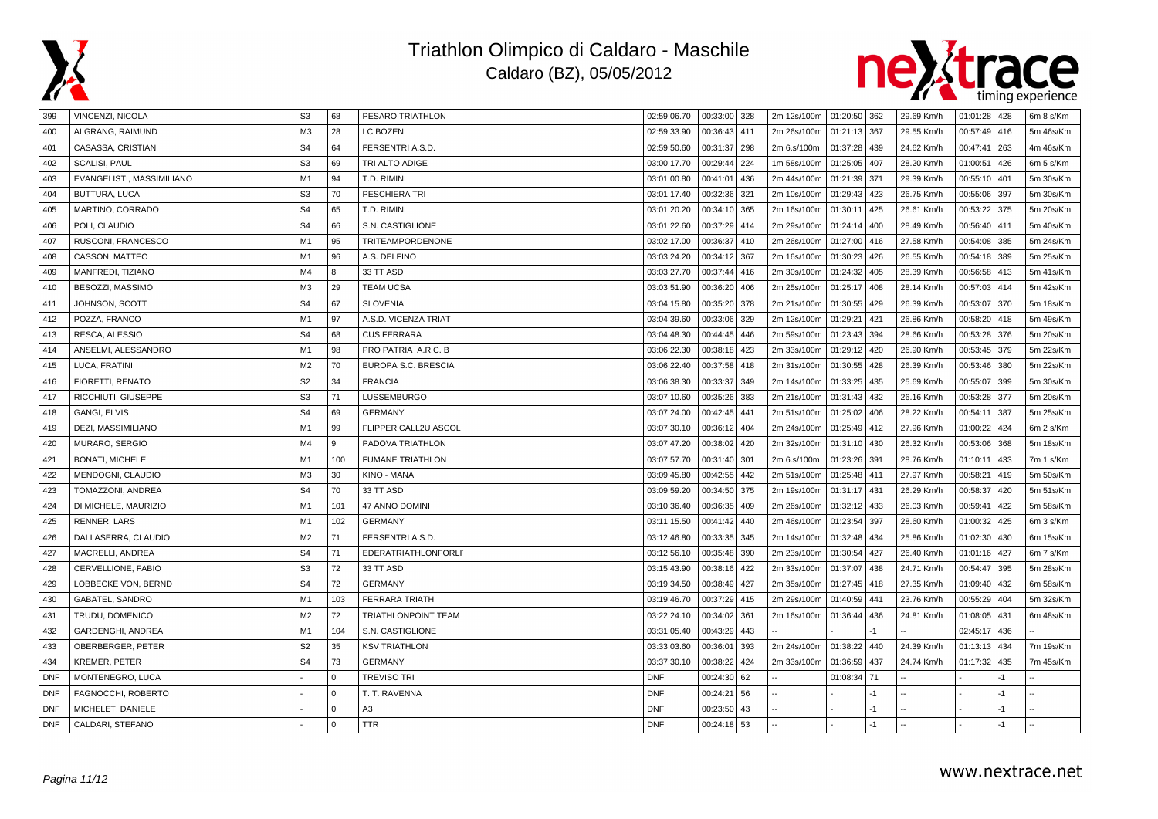



| 399        | VINCENZI, NICOLA          | S <sub>3</sub> | 68       | PESARO TRIATHLON           | 02:59:06.70 | 00:33:00 328 |     | 2m 12s/100m   01:20:50   362 |              |      | 29.69 Km/h | 01:01:28 428 |      | 6m 8 s/Km |
|------------|---------------------------|----------------|----------|----------------------------|-------------|--------------|-----|------------------------------|--------------|------|------------|--------------|------|-----------|
| 400        | ALGRANG, RAIMUND          | M <sub>3</sub> | 28       | <b>LC BOZEN</b>            | 02:59:33.90 | 00:36:43     | 411 | 2m 26s/100m                  | 01:21:13 367 |      | 29.55 Km/h | 00:57:49     | 416  | 5m 46s/Km |
| 401        | CASASSA, CRISTIAN         | S <sub>4</sub> | 64       | FERSENTRI A.S.D.           | 02:59:50.60 | 00:31:37     | 298 | 2m 6.s/100m                  | 01:37:28     | 439  | 24.62 Km/h | 00:47:41     | 263  | 4m 46s/Km |
| 402        | <b>SCALISI, PAUL</b>      | S <sub>3</sub> | 69       | TRI ALTO ADIGE             | 03:00:17.70 | 00:29:44     | 224 | 1m 58s/100m                  | 01:25:05     | 407  | 28.20 Km/h | 01:00:51     | 426  | 6m 5 s/Km |
| 403        | EVANGELISTI, MASSIMILIANO | M1             | 94       | T.D. RIMINI                | 03:01:00.80 | 00:41:01     | 436 | 2m 44s/100m                  | 01:21:39     | 371  | 29.39 Km/h | 00:55:10     | 401  | 5m 30s/Km |
| 404        | BUTTURA, LUCA             | S <sub>3</sub> | 70       | PESCHIERA TRI              | 03:01:17.40 | 00:32:36     | 321 | 2m 10s/100m                  | 01:29:43     | 423  | 26.75 Km/h | 00:55:06     | 397  | 5m 30s/Km |
| 405        | MARTINO, CORRADO          | S <sub>4</sub> | 65       | T.D. RIMINI                | 03:01:20.20 | 00:34:10     | 365 | 2m 16s/100m                  | 01:30:11     | 425  | 26.61 Km/h | 00:53:22     | 375  | 5m 20s/Km |
| 406        | POLI, CLAUDIO             | S <sub>4</sub> | 66       | S.N. CASTIGLIONE           | 03:01:22.60 | 00:37:29     | 414 | 2m 29s/100m                  | 01:24:14     | 400  | 28.49 Km/h | 00:56:40     | 411  | 5m 40s/Km |
| 407        | RUSCONI, FRANCESCO        | M1             | 95       | TRITEAMPORDENONE           | 03:02:17.00 | 00:36:37     | 410 | 2m 26s/100m                  | 01:27:00 416 |      | 27.58 Km/h | 00:54:08     | 385  | 5m 24s/Km |
| 408        | CASSON, MATTEO            | M1             | 96       | A.S. DELFINO               | 03:03:24.20 | 00:34:12     | 367 | 2m 16s/100m                  | 01:30:23     | 426  | 26.55 Km/h | 00:54:18     | 389  | 5m 25s/Km |
| 409        | MANFREDI, TIZIANO         | M4             | 8        | 33 TT ASD                  | 03:03:27.70 | 00:37:44     | 416 | 2m 30s/100m                  | 01:24:32     | 405  | 28.39 Km/h | 00:56:58     | 413  | 5m 41s/Km |
| 410        | BESOZZI, MASSIMO          | M3             | 29       | <b>TEAM UCSA</b>           | 03:03:51.90 | 00:36:20     | 406 | 2m 25s/100m                  | 01:25:17     | 408  | 28.14 Km/h | 00:57:03     | 414  | 5m 42s/Km |
| 411        | JOHNSON, SCOTT            | S <sub>4</sub> | 67       | <b>SLOVENIA</b>            | 03:04:15.80 | 00:35:20     | 378 | 2m 21s/100m                  | 01:30:55     | 429  | 26.39 Km/h | 00:53:07     | 370  | 5m 18s/Km |
| 412        | POZZA, FRANCO             | M1             | 97       | A.S.D. VICENZA TRIAT       | 03:04:39.60 | 00:33:06     | 329 | 2m 12s/100m                  | 01:29:21     | 421  | 26.86 Km/h | 00:58:20     | 418  | 5m 49s/Km |
| 413        | RESCA, ALESSIO            | S <sub>4</sub> | 68       | <b>CUS FERRARA</b>         | 03:04:48.30 | 00:44:45     | 446 | 2m 59s/100m                  | 01:23:43     | 394  | 28.66 Km/h | 00:53:28     | 376  | 5m 20s/Km |
| 414        | ANSELMI, ALESSANDRO       | M <sub>1</sub> | 98       | PRO PATRIA A.R.C. B        | 03:06:22.30 | 00:38:18     | 423 | 2m 33s/100m                  | 01:29:12     | 420  | 26.90 Km/h | 00:53:45     | 379  | 5m 22s/Km |
| 415        | LUCA, FRATINI             | M <sub>2</sub> | 70       | EUROPA S.C. BRESCIA        | 03:06:22.40 | 00:37:58     | 418 | 2m 31s/100m                  | 01:30:55 428 |      | 26.39 Km/h | 00:53:46     | 380  | 5m 22s/Km |
| 416        | FIORETTI, RENATO          | S <sub>2</sub> | 34       | <b>FRANCIA</b>             | 03:06:38.30 | 00:33:37     | 349 | 2m 14s/100m                  | 01:33:25     | 435  | 25.69 Km/h | 00:55:07     | 399  | 5m 30s/Km |
| 417        | RICCHIUTI, GIUSEPPE       | S <sub>3</sub> | 71       | LUSSEMBURGO                | 03:07:10.60 | 00:35:26     | 383 | 2m 21s/100m                  | 01:31:43     | 432  | 26.16 Km/h | 00:53:28     | 377  | 5m 20s/Km |
| 418        | <b>GANGI, ELVIS</b>       | S <sub>4</sub> | 69       | <b>GERMANY</b>             | 03:07:24.00 | 00:42:45     | 441 | 2m 51s/100m                  | 01:25:02     | 406  | 28.22 Km/h | 00:54:11     | 387  | 5m 25s/Km |
| 419        | DEZI, MASSIMILIANO        | M1             | 99       | FLIPPER CALL2U ASCOL       | 03:07:30.10 | 00:36:12     | 404 | 2m 24s/100m                  | 01:25:49     | 412  | 27.96 Km/h | 01:00:22     | 424  | 6m 2 s/Km |
| 420        | MURARO, SERGIO            | M4             | 9        | PADOVA TRIATHLON           | 03:07:47.20 | 00:38:02     | 420 | 2m 32s/100m                  | 01:31:10     | 430  | 26.32 Km/h | 00:53:06     | 368  | 5m 18s/Km |
| 421        | <b>BONATI, MICHELE</b>    | M1             | 100      | <b>FUMANE TRIATHLON</b>    | 03:07:57.70 | 00:31:40     | 301 | 2m 6.s/100m                  | 01:23:26     | 391  | 28.76 Km/h | 01:10:11     | 433  | 7m 1 s/Km |
| 422        | MENDOGNI, CLAUDIO         | M <sub>3</sub> | 30       | KINO - MANA                | 03:09:45.80 | 00:42:55     | 442 | 2m 51s/100m                  | 01:25:48     | 411  | 27.97 Km/h | 00:58:21     | 419  | 5m 50s/Km |
| 423        | TOMAZZONI, ANDREA         | S <sub>4</sub> | 70       | 33 TT ASD                  | 03:09:59.20 | 00:34:50     | 375 | 2m 19s/100m                  | 01:31:17     | 431  | 26.29 Km/h | 00:58:37     | 420  | 5m 51s/Km |
| 424        | DI MICHELE, MAURIZIO      | M1             | 101      | 47 ANNO DOMINI             | 03:10:36.40 | 00:36:35     | 409 | 2m 26s/100m                  | 01:32:12     | 433  | 26.03 Km/h | 00:59:41     | 422  | 5m 58s/Km |
| 425        | RENNER, LARS              | M <sub>1</sub> | 102      | <b>GERMANY</b>             | 03:11:15.50 | 00:41:42     | 440 | 2m 46s/100m                  | 01:23:54     | 397  | 28.60 Km/h | 01:00:32     | 425  | 6m 3 s/Km |
| 426        | DALLASERRA, CLAUDIO       | M <sub>2</sub> | 71       | FERSENTRI A.S.D.           | 03:12:46.80 | 00:33:35     | 345 | 2m 14s/100m                  | 01:32:48     | 434  | 25.86 Km/h | 01:02:30     | 430  | 6m 15s/Km |
| 427        | MACRELLI, ANDREA          | S <sub>4</sub> | 71       | EDERATRIATHLONFORLI'       | 03:12:56.10 | 00:35:48     | 390 | 2m 23s/100m                  | 01:30:54     | 427  | 26.40 Km/h | 01:01:16     | 427  | 6m 7 s/Km |
| 428        | CERVELLIONE, FABIO        | S <sub>3</sub> | 72       | 33 TT ASD                  | 03:15:43.90 | 00:38:16     | 422 | 2m 33s/100m                  | 01:37:07     | 438  | 24.71 Km/h | 00:54:47     | 395  | 5m 28s/Km |
| 429        | LÖBBECKE VON, BERND       | S <sub>4</sub> | 72       | <b>GERMANY</b>             | 03:19:34.50 | 00:38:49     | 427 | 2m 35s/100m                  | 01:27:45 418 |      | 27.35 Km/h | 01:09:40     | 432  | 6m 58s/Km |
| 430        | GABATEL, SANDRO           | M1             | 103      | <b>FERRARA TRIATH</b>      | 03:19:46.70 | 00:37:29     | 415 | 2m 29s/100m                  | 01:40:59     | 441  | 23.76 Km/h | 00:55:29     | 404  | 5m 32s/Km |
| 431        | TRUDU, DOMENICO           | M <sub>2</sub> | 72       | <b>TRIATHLONPOINT TEAM</b> | 03:22:24.10 | 00:34:02     | 361 | 2m 16s/100m                  | 01:36:44     | 436  | 24.81 Km/h | 01:08:05     | 431  | 6m 48s/Km |
| 432        | GARDENGHI, ANDREA         | M1             | 104      | S.N. CASTIGLIONE           | 03:31:05.40 | 00:43:29     | 443 |                              |              | $-1$ |            | 02:45:17     | 436  |           |
| 433        | OBERBERGER, PETER         | S <sub>2</sub> | 35       | <b>KSV TRIATHLON</b>       | 03:33:03.60 | 00:36:01     | 393 | 2m 24s/100m                  | 01:38:22     | 440  | 24.39 Km/h | 01:13:13     | 434  | 7m 19s/Km |
| 434        | KREMER, PETER             | S <sub>4</sub> | 73       | <b>GERMANY</b>             | 03:37:30.10 | 00:38:22     | 424 | 2m 33s/100m                  | 01:36:59     | 437  | 24.74 Km/h | 01:17:32     | 435  | 7m 45s/Km |
| <b>DNF</b> | MONTENEGRO, LUCA          |                | $\Omega$ | <b>TREVISO TRI</b>         | <b>DNF</b>  | 00:24:30     | 62  |                              | 01:08:34     | 71   |            |              | $-1$ |           |
| <b>DNF</b> | FAGNOCCHI, ROBERTO        |                | $\Omega$ | T. T. RAVENNA              | <b>DNF</b>  | 00:24:21     | 56  |                              |              | $-1$ |            |              | $-1$ |           |
| <b>DNF</b> | MICHELET, DANIELE         |                | $\Omega$ | A <sub>3</sub>             | <b>DNF</b>  | 00:23:50     | 43  |                              |              | $-1$ |            |              | $-1$ |           |
| <b>DNF</b> | CALDARI, STEFANO          |                | $\Omega$ | <b>TTR</b>                 | <b>DNF</b>  | 00:24:18 53  |     |                              |              | $-1$ |            |              | $-1$ |           |